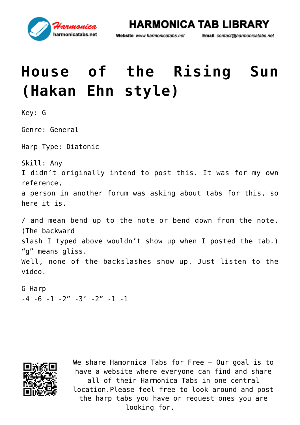

Website: www.harmonicatabs.net

Email: contact@harmonicatabs.net

# **[House of the Rising Sun](https://harmonicatabs.net/tabs/house-of-the-rising-sun-hakan-ehn-style/) [\(Hakan Ehn style\)](https://harmonicatabs.net/tabs/house-of-the-rising-sun-hakan-ehn-style/)**

Key: G

Genre: General

Harp Type: Diatonic

Skill: Any

I didn't originally intend to post this. It was for my own reference,

a person in another forum was asking about tabs for this, so here it is.

/ and mean bend up to the note or bend down from the note. (The backward slash I typed above wouldn't show up when I posted the tab.) "g" means gliss. Well, none of the backslashes show up. Just listen to the video.

G Harp  $-4$   $-6$   $-1$   $-2$ "  $-3$ '  $-2$ "  $-1$   $-1$ 

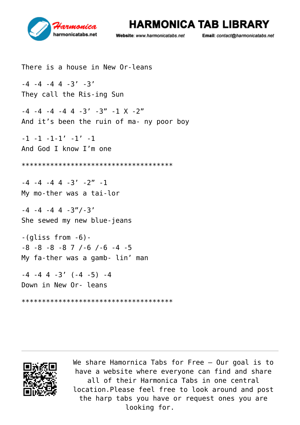

Website: www.harmonicatabs.net

Email: contact@harmonicatabs.net

There is a house in New Or-leans  $-4$   $-4$   $-4$   $4$   $-3'$   $-3'$ They call the Ris-ing Sun -4 -4 -4 -4 4 -3' -3" -1 X -2" And it's been the ruin of ma- ny poor boy -1 -1 -1-1' -1' -1 And God I know I'm one \*\*\*\*\*\*\*\*\*\*\*\*\*\*\*\*\*\*\*\*\*\*\*\*\*\*\*\*\*\*\*\*\*\*\*\*\* -4 -4 -4 4 -3' -2" -1 My mo-ther was a tai-lor -4 -4 -4 4 -3"/-3' She sewed my new blue-jeans  $-(gliss from -6)$ - $-8$   $-8$   $-8$   $-8$  7 /  $-6$  /  $-6$   $-4$   $-5$ My fa-ther was a gamb- lin' man  $-4$   $-4$   $4$   $-3'$   $(-4$   $-5)$   $-4$ Down in New Or- leans

\*\*\*\*\*\*\*\*\*\*\*\*\*\*\*\*\*\*\*\*\*\*\*\*\*\*\*\*\*\*\*\*\*\*\*\*\*

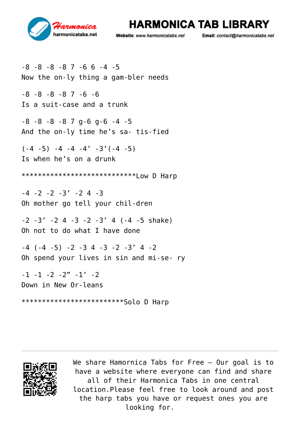

Website: www.harmonicatabs.net

Email: contact@harmonicatabs.net

 $-8$   $-8$   $-8$   $-8$  7  $-6$  6  $-4$   $-5$ Now the on-ly thing a gam-bler needs -8 -8 -8 -8 7 -6 -6 Is a suit-case and a trunk  $-8$   $-8$   $-8$   $-8$  7 g $-6$  g $-6$   $-4$   $-5$ And the on-ly time he's sa- tis-fied  $(-4 -5)$   $-4$   $-4$   $-4'$   $-3'$   $(-4 -5)$ Is when he's on a drunk \*\*\*\*\*\*\*\*\*\*\*\*\*\*\*\*\*\*\*\*\*\*\*\*\*\*\*\*Low D Harp -4 -2 -2 -3' -2 4 -3 Oh mother go tell your chil-dren  $-2$   $-3'$   $-2$  4  $-3$   $-2$   $-3'$  4 ( $-4$   $-5$  shake) Oh not to do what I have done  $-4$   $(-4 -5)$   $-2$   $-3$   $4$   $-3$   $-2$   $-3'$   $4$   $-2$ Oh spend your lives in sin and mi-se- ry  $-1$   $-1$   $-2$   $-2$ "  $-1$ '  $-2$ Down in New Or-leans \*\*\*\*\*\*\*\*\*\*\*\*\*\*\*\*\*\*\*\*\*\*\*\*\*Solo D Harp

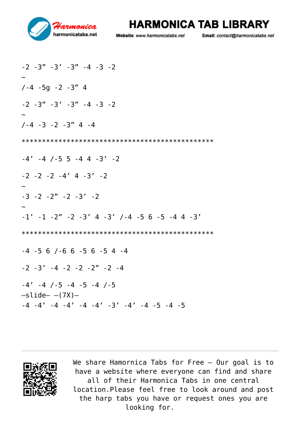

Website: www.harmonicatabs.net

Email: contact@harmonicatabs.net

| $-2$ $-3$ " $-3$ ' $-3$ " $-4$ $-3$ $-2$                                                                                 |
|--------------------------------------------------------------------------------------------------------------------------|
| $/ -4 -5g -2 -3'' 4$                                                                                                     |
| $-2$ $-3$ " $-3$ ' $-3$ " $-4$ $-3$ $-2$                                                                                 |
| $/ -4 -3 -2 -3'' 4 -4$                                                                                                   |
|                                                                                                                          |
| $-4'$ $-4$ $/ -5$ 5 $-4$ 4 $-3'$ $-2$                                                                                    |
| $-2$ $-2$ $-2$ $-4'$ $4$ $-3'$ $-2$                                                                                      |
| $-3$ $-2$ $-2$ " $-2$ $-3$ ' $-2$                                                                                        |
| $-1'$ $-1$ $-2''$ $-2$ $-3'$ 4 $-3'$ / $-4$ $-5$ 6 $-5$ $-4$ 4 $-3'$                                                     |
|                                                                                                                          |
| $-4$ $-5$ 6 $/$ -6 6 $-5$ 6 $-5$ 4 $-4$                                                                                  |
| $-2$ $-3'$ $-4$ $-2$ $-2$ $-2"$ $-2$ $-4$                                                                                |
| $-4'$ $-4$ $/ -5$ $-4$ $-5$ $-4$ $/ -5$<br>-slide- -(7X)-<br>$-4$ $-4$ $-4$ $-4$ $-4$ $-4$ $-3$ $-4$ $-4$ $-5$ $-4$ $-5$ |

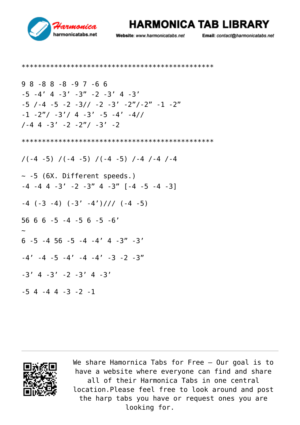

Website: www.harmonicatabs.net

Email: contact@harmonicatabs.net

\*\*\*\*\*\*\*\*\*\*\*\*\*\*\*\*\*\*\*\*\*\*\*\*\*\*\*\*\*\*\*\*\*\*\*\*\*\*\*\*\*\*\*\*\*\*\*

9 8 -8 8 -8 -9 7 -6 6 -5 -4' 4 -3' -3" -2 -3' 4 -3' -5 /-4 -5 -2 -3// -2 -3' -2"/-2" -1 -2" -1 -2"/ -3'/ 4 -3' -5 -4' -4// /-4 4 -3' -2 -2"/ -3' -2

\*\*\*\*\*\*\*\*\*\*\*\*\*\*\*\*\*\*\*\*\*\*\*\*\*\*\*\*\*\*\*\*\*\*\*\*\*\*\*\*\*\*\*\*\*\*\*

/(-4 -5) /(-4 -5) /(-4 -5) /-4 /-4 /-4  $\sim$  -5 (6X. Different speeds.)  $-4$   $-4$   $4$   $-3$ '  $-2$   $-3$ "  $4$   $-3$ "  $[-4$   $-5$   $-4$   $-3]$  $-4$  ( $-3$   $-4$ ) ( $-3'$   $-4'$ )/// ( $-4$   $-5$ ) 56 6 6 -5 -4 -5 6 -5 -6' ~ 6 -5 -4 56 -5 -4 -4' 4 -3" -3'  $-4'$   $-4$   $-5$   $-4'$   $-4$   $-4'$   $-3$   $-2$   $-3"$ -3' 4 -3' -2 -3' 4 -3'  $-5$  4  $-4$  4  $-3$   $-2$   $-1$ 

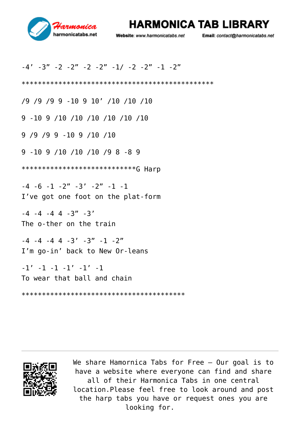

Website: www.harmonicatabs.net

Email: contact@harmonicatabs.net

 $-4'$   $-3''$   $-2$   $-2''$   $-2$   $-2''$   $-1/$   $-2$   $-2''$   $-1$   $-2''$ 

\*\*\*\*\*\*\*\*\*\*\*\*\*\*\*\*\*\*\*\*\*\*\*\*\*\*\*\*\*\*\*\*\*\*\*\*\*\*\*\*\*\*\*\*\*\*\*

/9 /9 /9 9 -10 9 10' /10 /10 /10 9 -10 9 /10 /10 /10 /10 /10 /10 9 /9 /9 9 -10 9 /10 /10 9 -10 9 /10 /10 /10 /9 8 -8 9 \*\*\*\*\*\*\*\*\*\*\*\*\*\*\*\*\*\*\*\*\*\*\*\*\*\*\*\*G Harp -4 -6 -1 -2" -3' -2" -1 -1 I've got one foot on the plat-form -4 -4 -4 4 -3" -3' The o-ther on the train -4 -4 -4 4 -3' -3" -1 -2" I'm go-in' back to New Or-leans  $-1'$   $-1$   $-1$   $-1'$   $-1'$   $-1$ 

To wear that ball and chain

\*\*\*\*\*\*\*\*\*\*\*\*\*\*\*\*\*\*\*\*\*\*\*\*\*\*\*\*\*\*\*\*\*\*\*\*\*\*\*\*

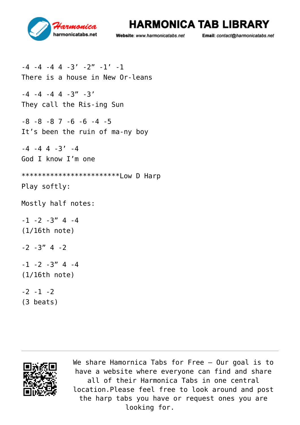

 $-4$   $-4$   $-4$   $4$   $-3'$   $-2''$   $-1'$   $-1$ 

**HARMONICA TAB LIBRARY** 

Website: www.harmonicatabs.net

Email: contact@harmonicatabs.net

There is a house in New Or-leans -4 -4 -4 4 -3" -3' They call the Ris-ing Sun -8 -8 -8 7 -6 -6 -4 -5 It's been the ruin of ma-ny boy -4 -4 4 -3' -4 God I know I'm one \*\*\*\*\*\*\*\*\*\*\*\*\*\*\*\*\*\*\*\*\*\*\*\*Low D Harp Play softly: Mostly half notes:  $-1$   $-2$   $-3$ " 4  $-4$ 

(1/16th note)

 $-2$   $-3$ " 4  $-2$ 

 $-1$   $-2$   $-3$ " 4  $-4$ (1/16th note)

 $-2 -1 -2$ (3 beats)

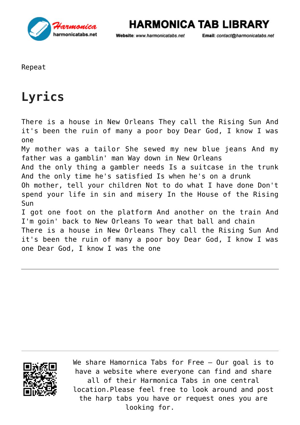

**HARMONICA TAB LIBRARY** 

Website: www.harmonicatabs.net

Email: contact@harmonicatabs.net

Repeat

## **Lyrics**

There is a house in New Orleans They call the Rising Sun And it's been the ruin of many a poor boy Dear God, I know I was one My mother was a tailor She sewed my new blue jeans And my father was a gamblin' man Way down in New Orleans And the only thing a gambler needs Is a suitcase in the trunk And the only time he's satisfied Is when he's on a drunk Oh mother, tell your children Not to do what I have done Don't spend your life in sin and misery In the House of the Rising Sun I got one foot on the platform And another on the train And I'm goin' back to New Orleans To wear that ball and chain There is a house in New Orleans They call the Rising Sun And it's been the ruin of many a poor boy Dear God, I know I was one Dear God, I know I was the one

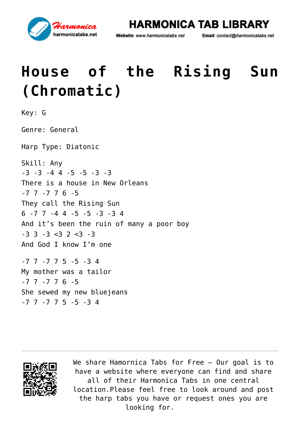

Website: www.harmonicatabs.net

Email: contact@harmonicatabs.net

# **[House of the Rising Sun](https://harmonicatabs.net/tabs/house-of-the-rising-sun-chromatic/) [\(Chromatic\)](https://harmonicatabs.net/tabs/house-of-the-rising-sun-chromatic/)**

Key: G Genre: General Harp Type: Diatonic Skill: Any  $-3$   $-3$   $-4$   $4$   $-5$   $-5$   $-3$   $-3$ There is a house in New Orleans -7 7 -7 7 6 -5 They call the Rising Sun 6 -7 7 -4 4 -5 -5 -3 -3 4 And it's been the ruin of many a poor boy  $-3$  3  $-3$   $<$ 3 2  $<$ 3  $-3$ And God I know I'm one -7 7 -7 7 5 -5 -3 4 My mother was a tailor -7 7 -7 7 6 -5 She sewed my new bluejeans -7 7 -7 7 5 -5 -3 4

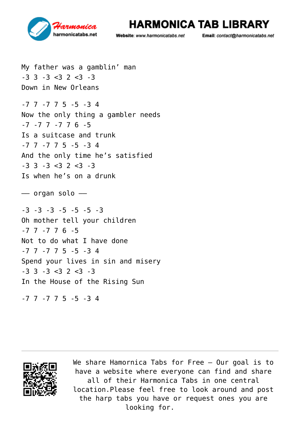

Website: www.harmonicatabs.net

Email: contact@harmonicatabs.net

My father was a gamblin' man  $-3$  3  $-3$   $<$ 3  $2$   $<$ 3  $-3$ Down in New Orleans -7 7 -7 7 5 -5 -3 4 Now the only thing a gambler needs -7 -7 7 -7 7 6 -5 Is a suitcase and trunk -7 7 -7 7 5 -5 -3 4 And the only time he's satisfied  $-3$  3  $-3$   $<$ 3 2  $<$ 3  $-3$ Is when he's on a drunk —— organ solo —— -3 -3 -3 -5 -5 -5 -3 Oh mother tell your children -7 7 -7 7 6 -5 Not to do what I have done -7 7 -7 7 5 -5 -3 4 Spend your lives in sin and misery  $-3$  3  $-3$   $<$ 3 2  $<$ 3  $-3$ In the House of the Rising Sun -7 7 -7 7 5 -5 -3 4

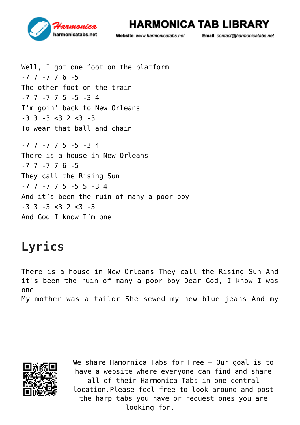

Website: www.harmonicatabs.net

Email: contact@harmonicatabs.net

Well, I got one foot on the platform -7 7 -7 7 6 -5 The other foot on the train -7 7 -7 7 5 -5 -3 4 I'm goin' back to New Orleans  $-3$  3  $-3$   $<$ 3 2  $<$ 3  $-3$ To wear that ball and chain -7 7 -7 7 5 -5 -3 4 There is a house in New Orleans -7 7 -7 7 6 -5 They call the Rising Sun -7 7 -7 7 5 -5 5 -3 4 And it's been the ruin of many a poor boy  $-3$  3  $-3$   $<$ 3 2  $<$ 3  $-3$ And God I know I'm one

### **Lyrics**

There is a house in New Orleans They call the Rising Sun And it's been the ruin of many a poor boy Dear God, I know I was one My mother was a tailor She sewed my new blue jeans And my

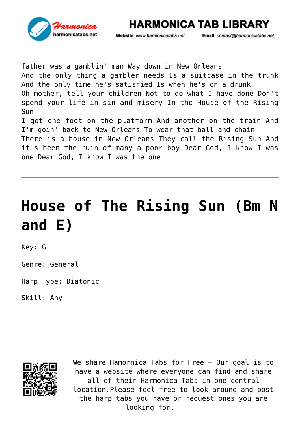

Website: www.harmonicatabs.net

Email: contact@harmonicatabs.net

**HARMONICA TAB LIBRARY** 

father was a gamblin' man Way down in New Orleans And the only thing a gambler needs Is a suitcase in the trunk And the only time he's satisfied Is when he's on a drunk Oh mother, tell your children Not to do what I have done Don't spend your life in sin and misery In the House of the Rising Sun I got one foot on the platform And another on the train And

I'm goin' back to New Orleans To wear that ball and chain There is a house in New Orleans They call the Rising Sun And it's been the ruin of many a poor boy Dear God, I know I was one Dear God, I know I was the one

## **[House of The Rising Sun \(Bm N](https://harmonicatabs.net/tabs/house-of-the-rising-sun-bm-n-and-e/) [and E\)](https://harmonicatabs.net/tabs/house-of-the-rising-sun-bm-n-and-e/)**

Key: G

Genre: General

Harp Type: Diatonic

Skill: Any

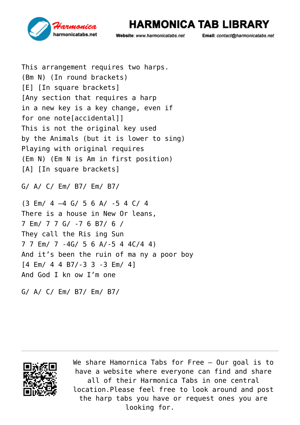

Website: www.harmonicatabs.net

Email: contact@harmonicatabs.net

This arrangement requires two harps. (Bm N) (In round brackets) [E] [In square brackets] [Any section that requires a harp in a new key is a key change, even if for one note[accidental]] This is not the original key used by the Animals (but it is lower to sing) Playing with original requires (Em N) (Em N is Am in first position) [A] [In square brackets]

G/ A/ C/ Em/ B7/ Em/ B7/

(3 Em/ 4 –4 G/ 5 6 A/ -5 4 C/ 4 There is a house in New Or leans, 7 Em/ 7 7 G/ -7 6 B7/ 6 / They call the Ris ing Sun 7 7 Em/ 7 -4G/ 5 6 A/-5 4 4C/4 4) And it's been the ruin of ma ny a poor boy [4 Em/ 4 4 B7/-3 3 -3 Em/ 4] And God I kn ow I'm one

G/ A/ C/ Em/ B7/ Em/ B7/

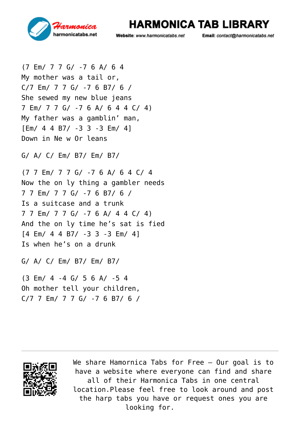

Website: www.harmonicatabs.net

Email: contact@harmonicatabs.net

(7 Em/ 7 7 G/ -7 6 A/ 6 4 My mother was a tail or, C/7 Em/ 7 7 G/ -7 6 B7/ 6 / She sewed my new blue jeans 7 Em/ 7 7 G/ -7 6 A/ 6 4 4 C/ 4) My father was a gamblin' man, [Em/ 4 4 B7/ -3 3 -3 Em/ 4] Down in Ne w Or leans

G/ A/ C/ Em/ B7/ Em/ B7/

(7 7 Em/ 7 7 G/ -7 6 A/ 6 4 C/ 4 Now the on ly thing a gambler needs 7 7 Em/ 7 7 G/ -7 6 B7/ 6 / Is a suitcase and a trunk 7 7 Em/ 7 7 G/ -7 6 A/ 4 4 C/ 4) And the on ly time he's sat is fied [4 Em/ 4 4 B7/ -3 3 -3 Em/ 4] Is when he's on a drunk

G/ A/ C/ Em/ B7/ Em/ B7/

(3 Em/ 4 -4 G/ 5 6 A/ -5 4 Oh mother tell your children, C/7 7 Em/ 7 7 G/ -7 6 B7/ 6 /

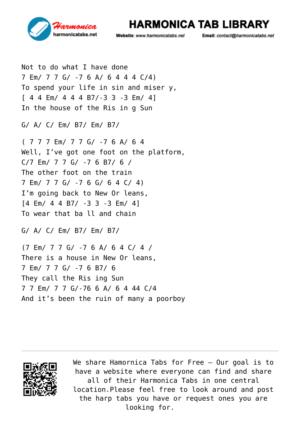

Website: www.harmonicatabs.net

Email: contact@harmonicatabs.net

Not to do what I have done 7 Em/ 7 7 G/ -7 6 A/ 6 4 4 4 C/4) To spend your life in sin and miser y, [ 4 4 Em/ 4 4 4 B7/-3 3 -3 Em/ 4] In the house of the Ris in g Sun

G/ A/ C/ Em/ B7/ Em/ B7/

( 7 7 7 Em/ 7 7 G/ -7 6 A/ 6 4 Well, I've got one foot on the platform, C/7 Em/ 7 7 G/ -7 6 B7/ 6 / The other foot on the train 7 Em/ 7 7 G/ -7 6 G/ 6 4 C/ 4) I'm going back to New Or leans, [4 Em/ 4 4 B7/ -3 3 -3 Em/ 4] To wear that ba ll and chain

G/ A/ C/ Em/ B7/ Em/ B7/

(7 Em/ 7 7 G/ -7 6 A/ 6 4 C/ 4 / There is a house in New Or leans, 7 Em/ 7 7 G/ -7 6 B7/ 6 They call the Ris ing Sun 7 7 Em/ 7 7 G/-76 6 A/ 6 4 44 C/4 And it's been the ruin of many a poorboy

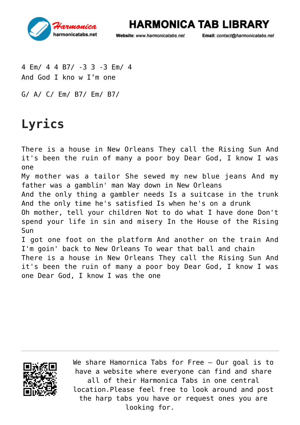

Website: www.harmonicatabs.net

Email: contact@harmonicatabs.net

4 Em/ 4 4 B7/ -3 3 -3 Em/ 4 And God I kno w I'm one

G/ A/ C/ Em/ B7/ Em/ B7/

## **Lyrics**

There is a house in New Orleans They call the Rising Sun And it's been the ruin of many a poor boy Dear God, I know I was one

My mother was a tailor She sewed my new blue jeans And my father was a gamblin' man Way down in New Orleans

And the only thing a gambler needs Is a suitcase in the trunk And the only time he's satisfied Is when he's on a drunk

Oh mother, tell your children Not to do what I have done Don't spend your life in sin and misery In the House of the Rising Sun

I got one foot on the platform And another on the train And I'm goin' back to New Orleans To wear that ball and chain There is a house in New Orleans They call the Rising Sun And it's been the ruin of many a poor boy Dear God, I know I was one Dear God, I know I was the one

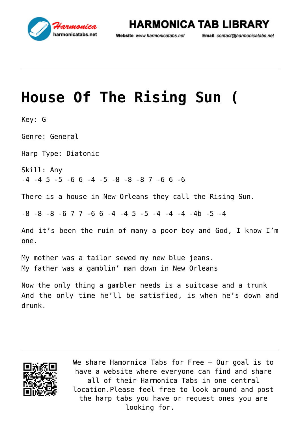

**HARMONICA TAB LIBRARY** 

Website: www.harmonicatabs.net

Email: contact@harmonicatabs.net

# **[House Of The Rising Sun \(](https://harmonicatabs.net/tabs/house-of-the-rising-sun-2/)**

Key: G

Genre: General

Harp Type: Diatonic

Skill: Any -4 -4 5 -5 -6 6 -4 -5 -8 -8 -8 7 -6 6 -6

There is a house in New Orleans they call the Rising Sun.

 $-8$   $-8$   $-8$   $-6$   $7$   $7$   $-6$   $6$   $-4$   $-4$   $5$   $-5$   $-4$   $-4$   $-4$   $-4$   $-5$   $-4$ 

And it's been the ruin of many a poor boy and God, I know I'm one.

My mother was a tailor sewed my new blue jeans. My father was a gamblin' man down in New Orleans

Now the only thing a gambler needs is a suitcase and a trunk And the only time he'll be satisfied, is when he's down and drunk.

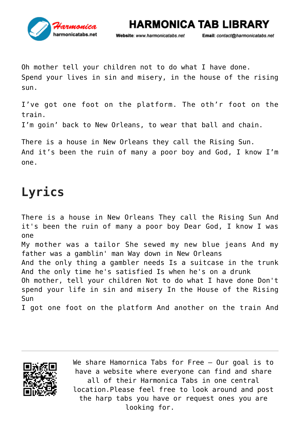

Email: contact@harmonicatabs.net

Oh mother tell your children not to do what I have done. Spend your lives in sin and misery, in the house of the rising sun.

Website: www.harmonicatabs.net

I've got one foot on the platform. The oth'r foot on the train.

I'm goin' back to New Orleans, to wear that ball and chain.

There is a house in New Orleans they call the Rising Sun. And it's been the ruin of many a poor boy and God, I know I'm one.

### **Lyrics**

There is a house in New Orleans They call the Rising Sun And it's been the ruin of many a poor boy Dear God, I know I was one My mother was a tailor She sewed my new blue jeans And my father was a gamblin' man Way down in New Orleans And the only thing a gambler needs Is a suitcase in the trunk And the only time he's satisfied Is when he's on a drunk Oh mother, tell your children Not to do what I have done Don't spend your life in sin and misery In the House of the Rising Sun

I got one foot on the platform And another on the train And

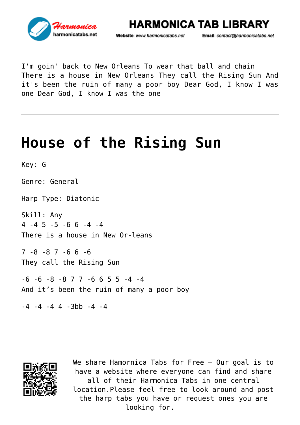

Website: www.harmonicatabs.net

Email: contact@harmonicatabs.net

**HARMONICA TAB LIBRARY** 

I'm goin' back to New Orleans To wear that ball and chain There is a house in New Orleans They call the Rising Sun And it's been the ruin of many a poor boy Dear God, I know I was one Dear God, I know I was the one

## **[House of the Rising Sun](https://harmonicatabs.net/tabs/house-of-the-rising-sun/)**

Key: G Genre: General Harp Type: Diatonic Skill: Any 4 -4 5 -5 -6 6 -4 -4 There is a house in New Or-leans 7 -8 -8 7 -6 6 -6 They call the Rising Sun  $-6$   $-6$   $-8$   $-8$   $7$   $7$   $-6$   $6$   $5$   $5$   $-4$   $-4$ And it's been the ruin of many a poor boy

 $-4$   $-4$   $-4$   $-3$ bb  $-4$   $-4$ 

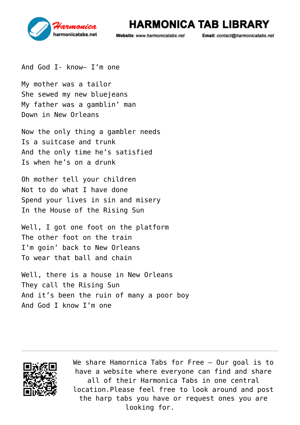

Website: www.harmonicatabs.net

Email: contact@harmonicatabs.net

And God I- know– I'm one

My mother was a tailor She sewed my new bluejeans My father was a gamblin' man Down in New Orleans

Now the only thing a gambler needs Is a suitcase and trunk And the only time he's satisfied Is when he's on a drunk

Oh mother tell your children Not to do what I have done Spend your lives in sin and misery In the House of the Rising Sun

Well, I got one foot on the platform The other foot on the train I'm goin' back to New Orleans To wear that ball and chain

Well, there is a house in New Orleans They call the Rising Sun And it's been the ruin of many a poor boy And God I know I'm one

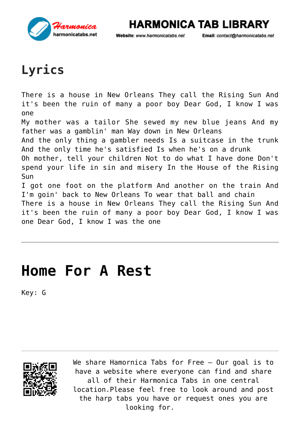

Website: www.harmonicatabs.net

Email: contact@harmonicatabs.net

### **Lyrics**

There is a house in New Orleans They call the Rising Sun And it's been the ruin of many a poor boy Dear God, I know I was one My mother was a tailor She sewed my new blue jeans And my father was a gamblin' man Way down in New Orleans And the only thing a gambler needs Is a suitcase in the trunk And the only time he's satisfied Is when he's on a drunk Oh mother, tell your children Not to do what I have done Don't spend your life in sin and misery In the House of the Rising Sun I got one foot on the platform And another on the train And I'm goin' back to New Orleans To wear that ball and chain There is a house in New Orleans They call the Rising Sun And it's been the ruin of many a poor boy Dear God, I know I was one Dear God, I know I was the one

### **[Home For A Rest](https://harmonicatabs.net/tabs/home-for-a-rest/)**

Key: G

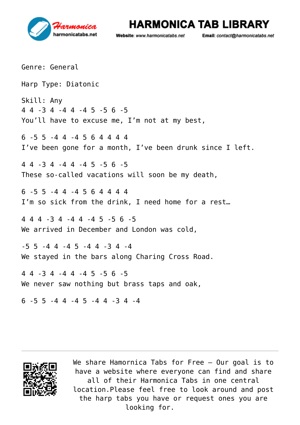

Website: www.harmonicatabs.net

Email: contact@harmonicatabs.net

Genre: General

Harp Type: Diatonic

Skill: Any 4 4 -3 4 -4 4 -4 5 -5 6 -5 You'll have to excuse me, I'm not at my best,

6 -5 5 -4 4 -4 5 6 4 4 4 4 I've been gone for a month, I've been drunk since I left.

4 4 -3 4 -4 4 -4 5 -5 6 -5 These so-called vacations will soon be my death,

6 -5 5 -4 4 -4 5 6 4 4 4 4 I'm so sick from the drink, I need home for a rest…

4 4 4 -3 4 -4 4 -4 5 -5 6 -5 We arrived in December and London was cold,

-5 5 -4 4 -4 5 -4 4 -3 4 -4 We stayed in the bars along Charing Cross Road.

4 4 -3 4 -4 4 -4 5 -5 6 -5 We never saw nothing but brass taps and oak,

6 -5 5 -4 4 -4 5 -4 4 -3 4 -4

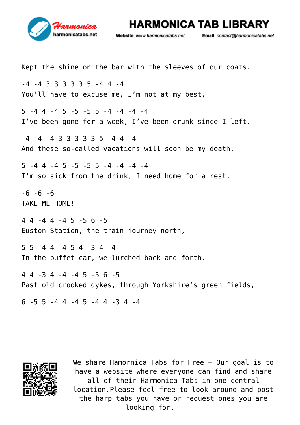

Website: www.harmonicatabs.net

Email: contact@harmonicatabs.net

Kept the shine on the bar with the sleeves of our coats. -4 -4 3 3 3 3 3 5 -4 4 -4 You'll have to excuse me, I'm not at my best, 5 -4 4 -4 5 -5 -5 5 -4 -4 -4 -4 I've been gone for a week, I've been drunk since I left. -4 -4 -4 3 3 3 3 3 5 -4 4 -4 And these so-called vacations will soon be my death, 5 -4 4 -4 5 -5 -5 5 -4 -4 -4 -4 I'm so sick from the drink, I need home for a rest, -6 -6 -6 TAKE ME HOME! 4 4 -4 4 -4 5 -5 6 -5 Euston Station, the train journey north, 5 5 -4 4 -4 5 4 -3 4 -4 In the buffet car, we lurched back and forth. 4 4 -3 4 -4 -4 5 -5 6 -5 Past old crooked dykes, through Yorkshire's green fields, 6 -5 5 -4 4 -4 5 -4 4 -3 4 -4

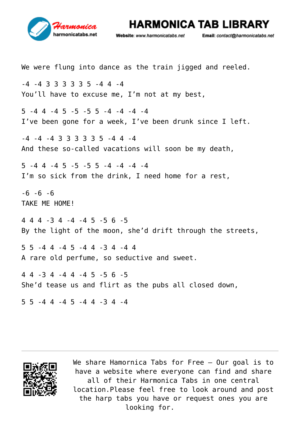

Website: www.harmonicatabs.net

Email: contact@harmonicatabs.net

We were flung into dance as the train jigged and reeled. -4 -4 3 3 3 3 3 5 -4 4 -4 You'll have to excuse me, I'm not at my best, 5 -4 4 -4 5 -5 -5 5 -4 -4 -4 -4 I've been gone for a week, I've been drunk since I left. -4 -4 -4 3 3 3 3 3 5 -4 4 -4 And these so-called vacations will soon be my death, 5 -4 4 -4 5 -5 -5 5 -4 -4 -4 -4 I'm so sick from the drink, I need home for a rest, -6 -6 -6 TAKE ME HOME! 4 4 4 -3 4 -4 -4 5 -5 6 -5 By the light of the moon, she'd drift through the streets, 5 5 -4 4 -4 5 -4 4 -3 4 -4 4 A rare old perfume, so seductive and sweet. 4 4 -3 4 -4 4 -4 5 -5 6 -5 She'd tease us and flirt as the pubs all closed down, 5 5 -4 4 -4 5 -4 4 -3 4 -4

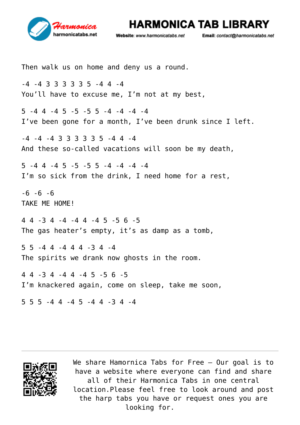

Website: www.harmonicatabs.net

Email: contact@harmonicatabs.net

Then walk us on home and deny us a round. -4 -4 3 3 3 3 3 5 -4 4 -4 You'll have to excuse me, I'm not at my best, 5 -4 4 -4 5 -5 -5 5 -4 -4 -4 -4 I've been gone for a month, I've been drunk since I left. -4 -4 -4 3 3 3 3 3 5 -4 4 -4 And these so-called vacations will soon be my death, 5 -4 4 -4 5 -5 -5 5 -4 -4 -4 -4 I'm so sick from the drink, I need home for a rest, -6 -6 -6 TAKE ME HOME! 4 4 -3 4 -4 -4 4 -4 5 -5 6 -5 The gas heater's empty, it's as damp as a tomb, 5 5 -4 4 -4 4 4 -3 4 -4 The spirits we drank now ghosts in the room. 4 4 -3 4 -4 4 -4 5 -5 6 -5 I'm knackered again, come on sleep, take me soon, 5 5 5 -4 4 -4 5 -4 4 -3 4 -4

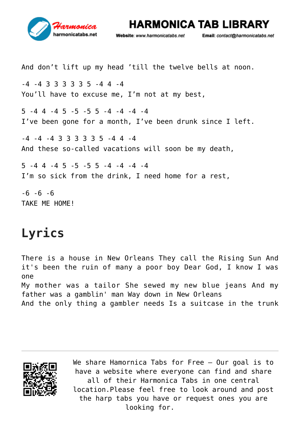

Email: contact@harmonicatabs.net

And don't lift up my head 'till the twelve bells at noon. -4 -4 3 3 3 3 3 5 -4 4 -4 You'll have to excuse me, I'm not at my best, 5 -4 4 -4 5 -5 -5 5 -4 -4 -4 -4 I've been gone for a month, I've been drunk since I left. -4 -4 -4 3 3 3 3 3 5 -4 4 -4 And these so-called vacations will soon be my death, 5 -4 4 -4 5 -5 -5 5 -4 -4 -4 -4 I'm so sick from the drink, I need home for a rest,

Website: www.harmonicatabs.net

-6 -6 -6 TAKE ME HOME!

### **Lyrics**

There is a house in New Orleans They call the Rising Sun And it's been the ruin of many a poor boy Dear God, I know I was one My mother was a tailor She sewed my new blue jeans And my father was a gamblin' man Way down in New Orleans And the only thing a gambler needs Is a suitcase in the trunk

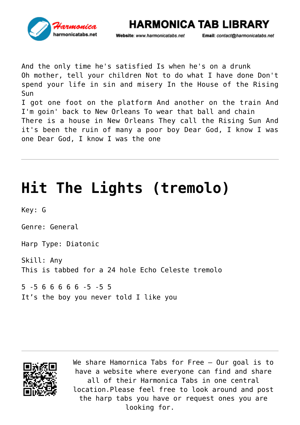

Website: www.harmonicatabs.net

Email: contact@harmonicatabs.net

**HARMONICA TAB LIBRARY** 

And the only time he's satisfied Is when he's on a drunk Oh mother, tell your children Not to do what I have done Don't spend your life in sin and misery In the House of the Rising Sun I got one foot on the platform And another on the train And I'm goin' back to New Orleans To wear that ball and chain There is a house in New Orleans They call the Rising Sun And it's been the ruin of many a poor boy Dear God, I know I was one Dear God, I know I was the one

## **[Hit The Lights \(tremolo\)](https://harmonicatabs.net/tabs/hit-the-lights-tremolo/)**

Key: G

Genre: General

Harp Type: Diatonic

Skill: Any This is tabbed for a 24 hole Echo Celeste tremolo

5 -5 6 6 6 6 6 -5 -5 5 It's the boy you never told I like you

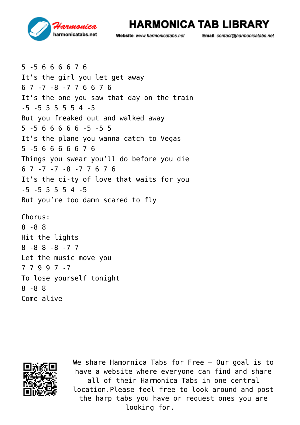

Website: www.harmonicatabs.net

Email: contact@harmonicatabs.net

5 -5 6 6 6 6 7 6 It's the girl you let get away 6 7 -7 -8 -7 7 6 6 7 6 It's the one you saw that day on the train -5 -5 5 5 5 5 4 -5 But you freaked out and walked away 5 -5 6 6 6 6 6 -5 -5 5 It's the plane you wanna catch to Vegas 5 -5 6 6 6 6 6 7 6 Things you swear you'll do before you die 6 7 -7 -7 -8 -7 7 6 7 6 It's the ci-ty of love that waits for you  $-5$   $-5$  5 5 5 4  $-5$ But you're too damn scared to fly Chorus: 8 -8 8 Hit the lights 8 -8 8 -8 -7 7 Let the music move you 7 7 9 9 7 -7 To lose yourself tonight 8 -8 8 Come alive

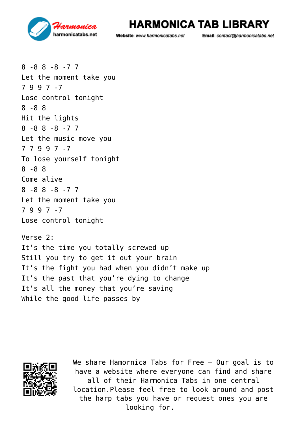

Website: www.harmonicatabs.net

Email: contact@harmonicatabs.net

8 -8 8 -8 -7 7 Let the moment take you 7 9 9 7 -7 Lose control tonight 8 -8 8 Hit the lights 8 -8 8 -8 -7 7 Let the music move you 7 7 9 9 7 -7 To lose yourself tonight 8 -8 8 Come alive 8 -8 8 -8 -7 7 Let the moment take you 7 9 9 7 -7 Lose control tonight Verse 2: It's the time you totally screwed up Still you try to get it out your brain It's the fight you had when you didn't make up It's the past that you're dying to change It's all the money that you're saving While the good life passes by

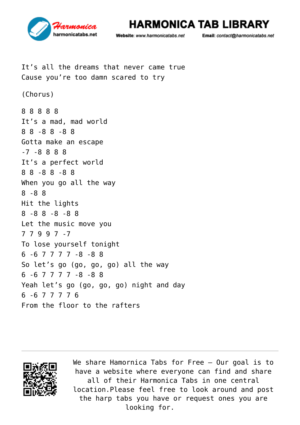

Website: www.harmonicatabs.net

Email: contact@harmonicatabs.net

It's all the dreams that never came true Cause you're too damn scared to try

(Chorus)

8 8 8 8 8 It's a mad, mad world 8 8 -8 8 -8 8 Gotta make an escape -7 -8 8 8 8 It's a perfect world 8 8 -8 8 -8 8 When you go all the way 8 -8 8 Hit the lights 8 -8 8 -8 -8 8 Let the music move you 7 7 9 9 7 -7 To lose yourself tonight 6 -6 7 7 7 7 -8 -8 8 So let's go (go, go, go) all the way 6 -6 7 7 7 7 -8 -8 8 Yeah let's go (go, go, go) night and day 6 -6 7 7 7 7 6 From the floor to the rafters

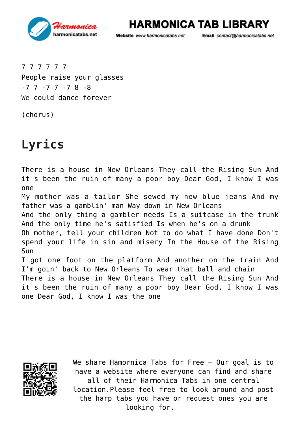

Website: www.harmonicatabs.net

Email: contact@harmonicatabs.net

7 7 7 7 7 7 People raise your glasses -7 7 -7 7 -7 8 -8 We could dance forever

(chorus)

### **Lyrics**

There is a house in New Orleans They call the Rising Sun And it's been the ruin of many a poor boy Dear God, I know I was one My mother was a tailor She sewed my new blue jeans And my father was a gamblin' man Way down in New Orleans And the only thing a gambler needs Is a suitcase in the trunk And the only time he's satisfied Is when he's on a drunk Oh mother, tell your children Not to do what I have done Don't spend your life in sin and misery In the House of the Rising **Sun** I got one foot on the platform And another on the train And I'm goin' back to New Orleans To wear that ball and chain There is a house in New Orleans They call the Rising Sun And it's been the ruin of many a poor boy Dear God, I know I was one Dear God, I know I was the one

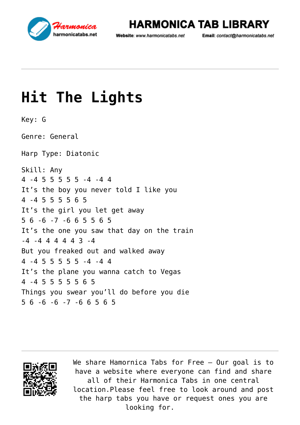

**HARMONICA TAB LIBRARY** 

Website: www.harmonicatabs.net

Email: contact@harmonicatabs.net

## **[Hit The Lights](https://harmonicatabs.net/tabs/hit-the-lights/)**

Key: G Genre: General Harp Type: Diatonic Skill: Any 4 -4 5 5 5 5 5 -4 -4 4 It's the boy you never told I like you 4 -4 5 5 5 5 6 5 It's the girl you let get away 5 6 -6 -7 -6 6 5 5 6 5 It's the one you saw that day on the train -4 -4 4 4 4 4 3 -4 But you freaked out and walked away 4 -4 5 5 5 5 5 -4 -4 4 It's the plane you wanna catch to Vegas 4 -4 5 5 5 5 5 6 5 Things you swear you'll do before you die 5 6 -6 -6 -7 -6 6 5 6 5

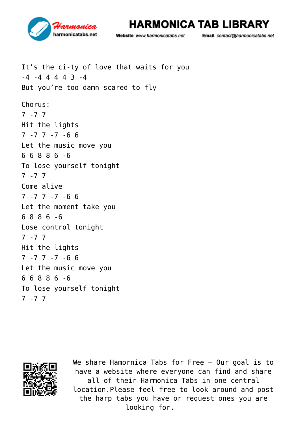

Website: www.harmonicatabs.net

Email: contact@harmonicatabs.net

It's the ci-ty of love that waits for you  $-4$   $-4$  4 4 4 3  $-4$ But you're too damn scared to fly Chorus: 7 -7 7 Hit the lights 7 -7 7 -7 -6 6 Let the music move you 6 6 8 8 6 -6 To lose yourself tonight 7 -7 7 Come alive 7 -7 7 -7 -6 6 Let the moment take you 6 8 8 6 -6 Lose control tonight 7 -7 7 Hit the lights 7 -7 7 -7 -6 6 Let the music move you 6 6 8 8 6 -6 To lose yourself tonight 7 -7 7

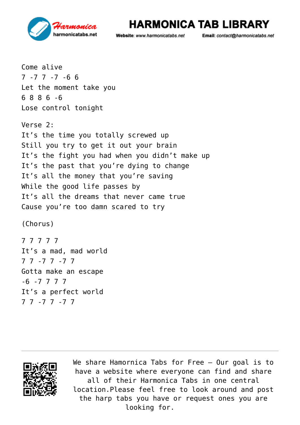

Website: www.harmonicatabs.net

Email: contact@harmonicatabs.net

Come alive 7 -7 7 -7 -6 6 Let the moment take you 6 8 8 6 -6 Lose control tonight

Verse 2: It's the time you totally screwed up Still you try to get it out your brain It's the fight you had when you didn't make up It's the past that you're dying to change It's all the money that you're saving While the good life passes by It's all the dreams that never came true Cause you're too damn scared to try

(Chorus)

7 7 7 7 7 It's a mad, mad world 7 7 -7 7 -7 7 Gotta make an escape -6 -7 7 7 7 It's a perfect world 7 7 -7 7 -7 7

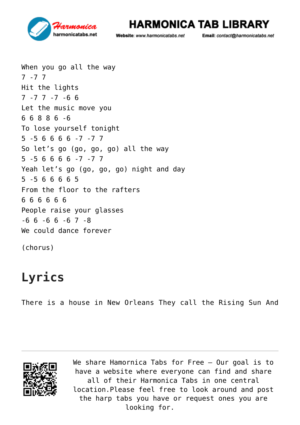

Website: www.harmonicatabs.net

Email: contact@harmonicatabs.net

When you go all the way 7 -7 7 Hit the lights 7 -7 7 -7 -6 6 Let the music move you 6 6 8 8 6 -6 To lose yourself tonight 5 -5 6 6 6 6 -7 -7 7 So let's go (go, go, go) all the way 5 -5 6 6 6 6 -7 -7 7 Yeah let's go (go, go, go) night and day 5 -5 6 6 6 6 5 From the floor to the rafters 6 6 6 6 6 6 People raise your glasses  $-6$  6  $-6$  6  $-6$  7  $-8$ We could dance forever

(chorus)

### **Lyrics**

There is a house in New Orleans They call the Rising Sun And

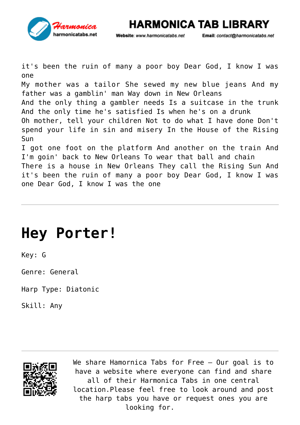

Email: contact@harmonicatabs.net

it's been the ruin of many a poor boy Dear God, I know I was one

My mother was a tailor She sewed my new blue jeans And my father was a gamblin' man Way down in New Orleans And the only thing a gambler needs Is a suitcase in the trunk And the only time he's satisfied Is when he's on a drunk Oh mother, tell your children Not to do what I have done Don't spend your life in sin and misery In the House of the Rising Sun

I got one foot on the platform And another on the train And I'm goin' back to New Orleans To wear that ball and chain There is a house in New Orleans They call the Rising Sun And

it's been the ruin of many a poor boy Dear God, I know I was one Dear God, I know I was the one

## **[Hey Porter!](https://harmonicatabs.net/tabs/hey-porter/)**

Key: G

Genre: General

Harp Type: Diatonic

Skill: Any

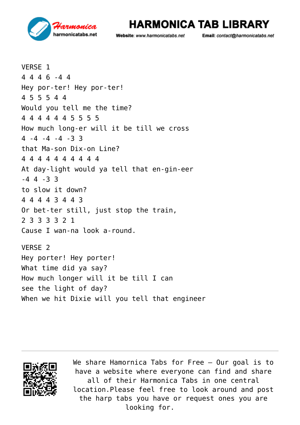

Website: www.harmonicatabs.net

Email: contact@harmonicatabs.net

VERSE 1 4 4 4 6 -4 4 Hey por-ter! Hey por-ter! 4 5 5 5 4 4 Would you tell me the time? 4 4 4 4 4 4 5 5 5 5 How much long-er will it be till we cross 4 -4 -4 -4 -3 3 that Ma-son Dix-on Line? 4 4 4 4 4 4 4 4 4 4 At day-light would ya tell that en-gin-eer  $-4$  4  $-3$  3 to slow it down? 4 4 4 4 3 4 4 3 Or bet-ter still, just stop the train, 2 3 3 3 3 2 1 Cause I wan-na look a-round. VERSE 2 Hey porter! Hey porter! What time did ya say? How much longer will it be till I can see the light of day? When we hit Dixie will you tell that engineer

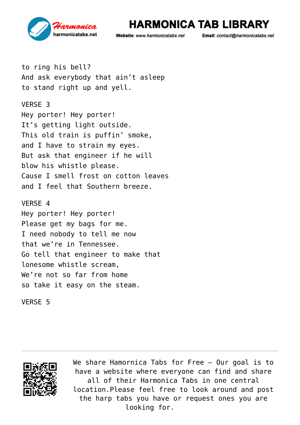

Website: www.harmonicatabs.net

Email: contact@harmonicatabs.net

to ring his bell? And ask everybody that ain't asleep to stand right up and yell.

VERSE 3 Hey porter! Hey porter! It's getting light outside. This old train is puffin' smoke, and I have to strain my eyes. But ask that engineer if he will blow his whistle please. Cause I smell frost on cotton leaves and I feel that Southern breeze.

VERSE 4 Hey porter! Hey porter! Please get my bags for me. I need nobody to tell me now that we're in Tennessee. Go tell that engineer to make that lonesome whistle scream, We're not so far from home so take it easy on the steam.

VERSE 5

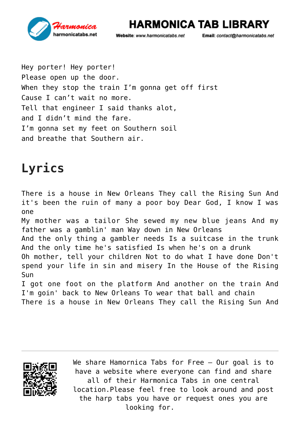

Website: www.harmonicatabs.net

Email: contact@harmonicatabs.net

Hey porter! Hey porter! Please open up the door. When they stop the train I'm gonna get off first Cause I can't wait no more. Tell that engineer I said thanks alot, and I didn't mind the fare. I'm gonna set my feet on Southern soil and breathe that Southern air.

## **Lyrics**

There is a house in New Orleans They call the Rising Sun And it's been the ruin of many a poor boy Dear God, I know I was one My mother was a tailor She sewed my new blue jeans And my father was a gamblin' man Way down in New Orleans And the only thing a gambler needs Is a suitcase in the trunk And the only time he's satisfied Is when he's on a drunk Oh mother, tell your children Not to do what I have done Don't spend your life in sin and misery In the House of the Rising Sun I got one foot on the platform And another on the train And I'm goin' back to New Orleans To wear that ball and chain

There is a house in New Orleans They call the Rising Sun And

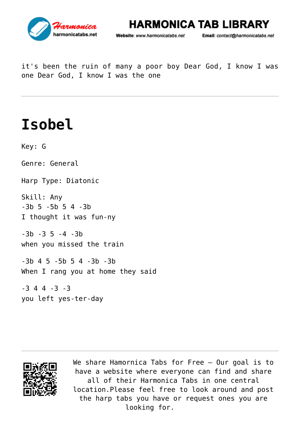

Website: www.harmonicatabs.net

Email: contact@harmonicatabs.net

it's been the ruin of many a poor boy Dear God, I know I was one Dear God, I know I was the one

## **[Isobel](https://harmonicatabs.net/tabs/isobel/)**

Key: G

Genre: General

Harp Type: Diatonic

Skill: Any  $-3b$  5  $-5b$  5 4  $-3b$ I thought it was fun-ny

 $-3b -3 5 -4 -3b$ when you missed the train

-3b 4 5 -5b 5 4 -3b -3b When I rang you at home they said

 $-3$  4 4  $-3$   $-3$ you left yes-ter-day

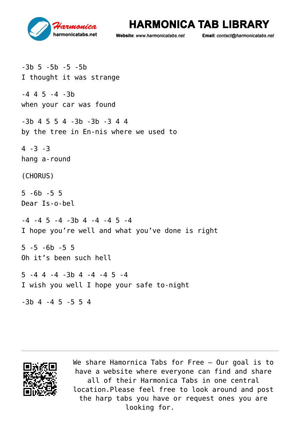

Website: www.harmonicatabs.net

Email: contact@harmonicatabs.net

 $-3b$  5  $-5b$   $-5$   $-5b$ I thought it was strange  $-4$  4 5  $-4$   $-3b$ when your car was found -3b 4 5 5 4 -3b -3b -3 4 4 by the tree in En-nis where we used to  $4 - 3 - 3$ hang a-round (CHORUS) 5 -6b -5 5 Dear Is-o-bel -4 -4 5 -4 -3b 4 -4 -4 5 -4 I hope you're well and what you've done is right 5 -5 -6b -5 5 Oh it's been such hell 5 -4 4 -4 -3b 4 -4 -4 5 -4 I wish you well I hope your safe to-night -3b 4 -4 5 -5 5 4

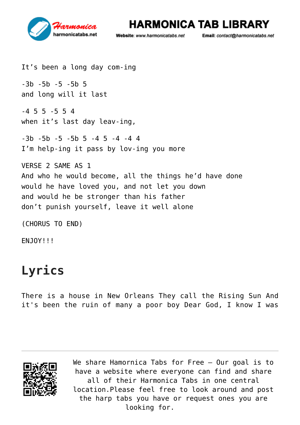

Website: www.harmonicatabs.net

Email: contact@harmonicatabs.net

It's been a long day com-ing  $-3b -5b -5 -5b$ and long will it last -4 5 5 -5 5 4 when it's last day leav-ing,  $-3b$   $-5b$   $-5$   $-5b$   $5$   $-4$   $5$   $-4$   $-4$   $4$ I'm help-ing it pass by lov-ing you more VERSE 2 SAME AS 1 And who he would become, all the things he'd have done would he have loved you, and not let you down and would he be stronger than his father don't punish yourself, leave it well alone

(CHORUS TO END)

ENJOY!!!

### **Lyrics**

There is a house in New Orleans They call the Rising Sun And it's been the ruin of many a poor boy Dear God, I know I was

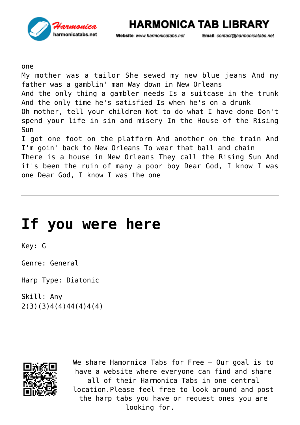

Email: contact@harmonicatabs.net

**HARMONICA TAB LIBRARY** 

one

My mother was a tailor She sewed my new blue jeans And my father was a gamblin' man Way down in New Orleans And the only thing a gambler needs Is a suitcase in the trunk And the only time he's satisfied Is when he's on a drunk Oh mother, tell your children Not to do what I have done Don't spend your life in sin and misery In the House of the Rising Sun

I got one foot on the platform And another on the train And I'm goin' back to New Orleans To wear that ball and chain There is a house in New Orleans They call the Rising Sun And it's been the ruin of many a poor boy Dear God, I know I was one Dear God, I know I was the one

## **[If you were here](https://harmonicatabs.net/tabs/if-you-were-here/)**

Key: G

Genre: General

Harp Type: Diatonic

Skill: Any 2(3)(3)4(4)44(4)4(4)

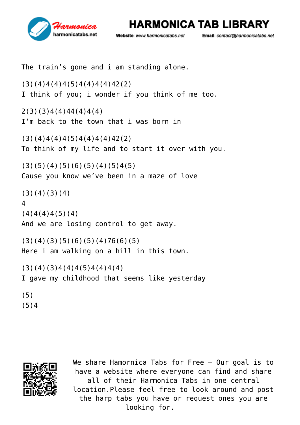

Website: www.harmonicatabs.net

Email: contact@harmonicatabs.net

```
The train's gone and i am standing alone.
(3)(4)4(4)4(5)4(4)4(4)42(2)
I think of you; i wonder if you think of me too.
2(3)(3)4(4)44(4)4(4)
I'm back to the town that i was born in
(3)(4)4(4)4(5)4(4)4(4)42(2)
To think of my life and to start it over with you.
(3)(5)(4)(5)(6)(5)(4)(5)4(5)
Cause you know we've been in a maze of love
(3)(4)(3)(4)
4
(4)4(4)4(5)(4)
And we are losing control to get away.
(3)(4)(3)(5)(6)(5)(4)76(6)(5)
Here i am walking on a hill in this town.
(3)(4)(3)4(4)4(5)4(4)4(4)
I gave my childhood that seems like yesterday
(5)
(5)4
```
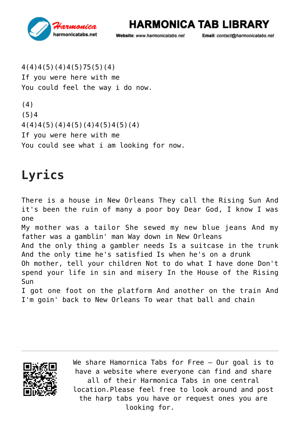

Website: www.harmonicatabs.net

Email: contact@harmonicatabs.net

4(4)4(5)(4)4(5)75(5)(4) If you were here with me You could feel the way i do now.

(4) (5)4 4(4)4(5)(4)4(5)(4)4(5)4(5)(4) If you were here with me You could see what i am looking for now.

## **Lyrics**

There is a house in New Orleans They call the Rising Sun And it's been the ruin of many a poor boy Dear God, I know I was one My mother was a tailor She sewed my new blue jeans And my father was a gamblin' man Way down in New Orleans And the only thing a gambler needs Is a suitcase in the trunk And the only time he's satisfied Is when he's on a drunk Oh mother, tell your children Not to do what I have done Don't spend your life in sin and misery In the House of the Rising Sun I got one foot on the platform And another on the train And

I'm goin' back to New Orleans To wear that ball and chain

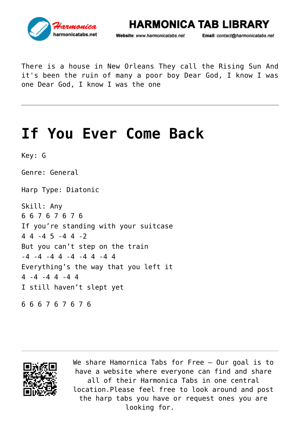

Website: www.harmonicatabs.net

Email: contact@harmonicatabs.net

There is a house in New Orleans They call the Rising Sun And it's been the ruin of many a poor boy Dear God, I know I was one Dear God, I know I was the one

### **[If You Ever Come Back](https://harmonicatabs.net/tabs/if-you-ever-come-back/)**

Key: G Genre: General

Harp Type: Diatonic

Skill: Any 6 6 7 6 7 6 7 6 If you're standing with your suitcase 4 4 -4 5 -4 4 -2 But you can't step on the train -4 -4 -4 4 -4 -4 4 -4 4 Everything's the way that you left it 4 -4 -4 4 -4 4 I still haven't slept yet

6 6 6 7 6 7 6 7 6

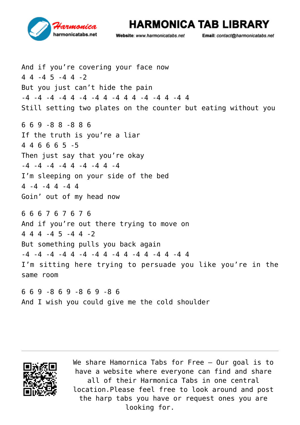

Website: www.harmonicatabs.net

Email: contact@harmonicatabs.net

And if you're covering your face now 4 4 -4 5 -4 4 -2 But you just can't hide the pain -4 -4 -4 -4 4 -4 -4 4 -4 4 4 -4 -4 4 -4 4 Still setting two plates on the counter but eating without you 6 6 9 -8 8 -8 8 6 If the truth is you're a liar 4 4 6 6 6 5 -5 Then just say that you're okay  $-4$   $-4$   $-4$   $-4$   $-4$   $-4$   $-4$   $-4$ I'm sleeping on your side of the bed 4 -4 -4 4 -4 4 Goin' out of my head now 6 6 6 7 6 7 6 7 6 And if you're out there trying to move on 4 4 4 -4 5 -4 4 -2 But something pulls you back again -4 -4 -4 -4 4 -4 -4 4 -4 4 -4 4 -4 4 -4 4 I'm sitting here trying to persuade you like you're in the same room 6 6 9 -8 6 9 -8 6 9 -8 6

And I wish you could give me the cold shoulder

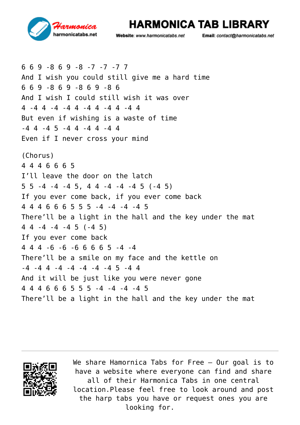

Website: www.harmonicatabs.net

Email: contact@harmonicatabs.net

6 6 9 -8 6 9 -8 -7 -7 -7 7 And I wish you could still give me a hard time 6 6 9 -8 6 9 -8 6 9 -8 6 And I wish I could still wish it was over 4 -4 4 -4 -4 4 -4 4 -4 4 -4 4 But even if wishing is a waste of time -4 4 -4 5 -4 4 -4 4 -4 4 Even if I never cross your mind (Chorus) 4 4 4 6 6 6 5 I'll leave the door on the latch 5 5 -4 -4 -4 5, 4 4 -4 -4 -4 5 (-4 5) If you ever come back, if you ever come back 4 4 4 6 6 6 5 5 5 -4 -4 -4 -4 5 There'll be a light in the hall and the key under the mat 4 4 -4 -4 -4 5 (-4 5) If you ever come back 4 4 4 -6 -6 -6 6 6 6 5 -4 -4 There'll be a smile on my face and the kettle on -4 -4 4 -4 -4 -4 -4 -4 5 -4 4 And it will be just like you were never gone 4 4 4 6 6 6 5 5 5 -4 -4 -4 -4 5 There'll be a light in the hall and the key under the mat

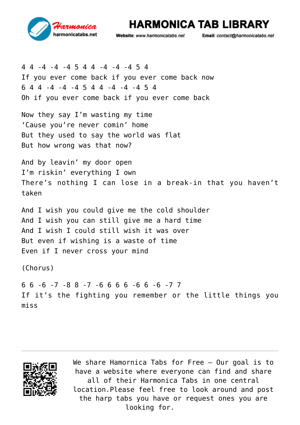

Website: www.harmonicatabs.net

Email: contact@harmonicatabs.net

4 4 -4 -4 -4 5 4 4 -4 -4 -4 5 4 If you ever come back if you ever come back now 6 4 4 -4 -4 -4 5 4 4 -4 -4 -4 5 4 Oh if you ever come back if you ever come back

Now they say I'm wasting my time 'Cause you're never comin' home But they used to say the world was flat But how wrong was that now?

And by leavin' my door open I'm riskin' everything I own There's nothing I can lose in a break-in that you haven't taken

And I wish you could give me the cold shoulder And I wish you can still give me a hard time And I wish I could still wish it was over But even if wishing is a waste of time Even if I never cross your mind

(Chorus)

6 6 -6 -7 -8 8 -7 -6 6 6 6 -6 6 -6 -7 7 If it's the fighting you remember or the little things you miss

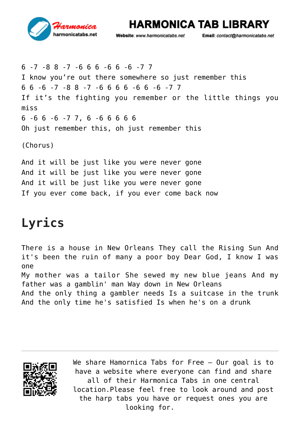

Email: contact@harmonicatabs.net

**HARMONICA TAB LIBRARY** 

6 -7 -8 8 -7 -6 6 6 -6 6 -6 -7 7 I know you're out there somewhere so just remember this 6 6 -6 -7 -8 8 -7 -6 6 6 6 -6 6 -6 -7 7 If it's the fighting you remember or the little things you miss 6 -6 6 -6 -7 7, 6 -6 6 6 6 6 Oh just remember this, oh just remember this (Chorus) And it will be just like you were never gone And it will be just like you were never gone And it will be just like you were never gone If you ever come back, if you ever come back now

### **Lyrics**

There is a house in New Orleans They call the Rising Sun And it's been the ruin of many a poor boy Dear God, I know I was one My mother was a tailor She sewed my new blue jeans And my father was a gamblin' man Way down in New Orleans And the only thing a gambler needs Is a suitcase in the trunk And the only time he's satisfied Is when he's on a drunk

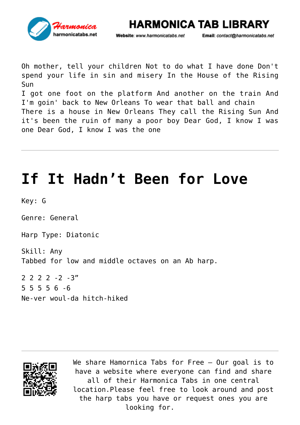

Website: www.harmonicatabs.net

Email: contact@harmonicatabs.net

Oh mother, tell your children Not to do what I have done Don't spend your life in sin and misery In the House of the Rising Sun I got one foot on the platform And another on the train And I'm goin' back to New Orleans To wear that ball and chain

There is a house in New Orleans They call the Rising Sun And it's been the ruin of many a poor boy Dear God, I know I was one Dear God, I know I was the one

## **[If It Hadn't Been for Love](https://harmonicatabs.net/tabs/if-it-hadnt-been-for-love/)**

Key: G

Genre: General

Harp Type: Diatonic

Skill: Any Tabbed for low and middle octaves on an Ab harp.

2 2 2 2 -2 -3" 5 5 5 5 6 -6 Ne-ver woul-da hitch-hiked

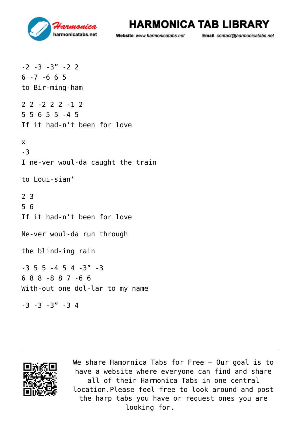

Website: www.harmonicatabs.net

Email: contact@harmonicatabs.net

```
-2 -3 -3" -2 2
6 -7 -6 6 5
to Bir-ming-ham
2 2 -2 2 2 -1 2
5 5 6 5 5 -4 5
If it had-n't been for love
x
-3
I ne-ver woul-da caught the train
to Loui-sian'
2 3
5 6
If it had-n't been for love
Ne-ver woul-da run through
the blind-ing rain
-3 5 5 -4 5 4 -3" -3
6 8 8 -8 8 7 -6 6
With-out one dol-lar to my name
-3 -3 -3" -3 4
```
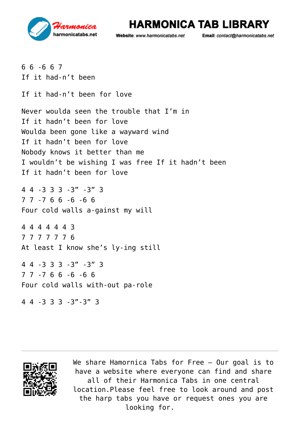

Website: www.harmonicatabs.net

Email: contact@harmonicatabs.net

6 6 -6 6 7 If it had-n't been

If it had-n't been for love Never woulda seen the trouble that I'm in If it hadn't been for love Woulda been gone like a wayward wind If it hadn't been for love Nobody knows it better than me I wouldn't be wishing I was free If it hadn't been If it hadn't been for love 4 4 -3 3 3 -3" -3" 3 7 7 -7 6 6 -6 -6 6 Four cold walls a-gainst my will 4 4 4 4 4 4 3 7 7 7 7 7 7 6 At least I know she's ly-ing still 4 4 -3 3 3 -3" -3" 3 7 7 -7 6 6 -6 -6 6 Four cold walls with-out pa-role 4 4 -3 3 3 -3"-3" 3

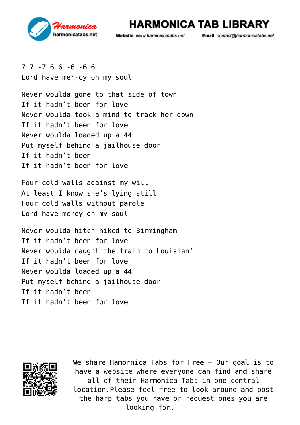

Website: www.harmonicatabs.net

Email: contact@harmonicatabs.net

7 7 -7 6 6 -6 -6 6 Lord have mer-cy on my soul

Never woulda gone to that side of town If it hadn't been for love Never woulda took a mind to track her down If it hadn't been for love Never woulda loaded up a 44 Put myself behind a jailhouse door If it hadn't been If it hadn't been for love

Four cold walls against my will At least I know she's lying still Four cold walls without parole Lord have mercy on my soul

Never woulda hitch hiked to Birmingham If it hadn't been for love Never woulda caught the train to Louisian' If it hadn't been for love Never woulda loaded up a 44 Put myself behind a jailhouse door If it hadn't been If it hadn't been for love

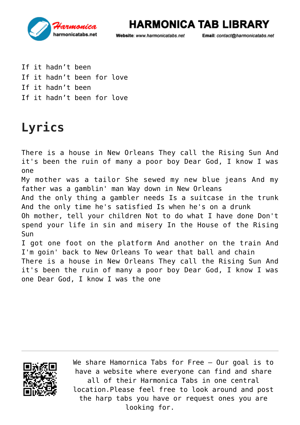

**HARMONICA TAB LIBRARY** 

Email: contact@harmonicatabs.net

- If it hadn't been If it hadn't been for love If it hadn't been
- If it hadn't been for love

### **Lyrics**

There is a house in New Orleans They call the Rising Sun And it's been the ruin of many a poor boy Dear God, I know I was one My mother was a tailor She sewed my new blue jeans And my father was a gamblin' man Way down in New Orleans And the only thing a gambler needs Is a suitcase in the trunk And the only time he's satisfied Is when he's on a drunk Oh mother, tell your children Not to do what I have done Don't spend your life in sin and misery In the House of the Rising Sun I got one foot on the platform And another on the train And I'm goin' back to New Orleans To wear that ball and chain

There is a house in New Orleans They call the Rising Sun And it's been the ruin of many a poor boy Dear God, I know I was one Dear God, I know I was the one

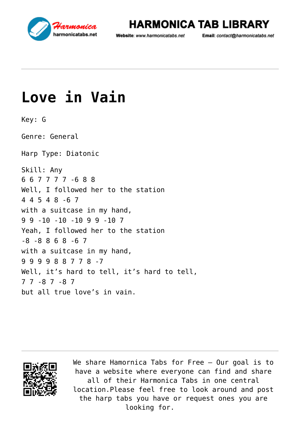

**HARMONICA TAB LIBRARY** 

Email: contact@harmonicatabs.net

# **[Love in Vain](https://harmonicatabs.net/tabs/love-in-vain-2/)**

Key: G Genre: General Harp Type: Diatonic Skill: Any 6 6 7 7 7 7 -6 8 8 Well, I followed her to the station 4 4 5 4 8 -6 7 with a suitcase in my hand, 9 9 -10 -10 -10 9 9 -10 7 Yeah, I followed her to the station -8 -8 8 6 8 -6 7 with a suitcase in my hand, 9 9 9 9 8 8 7 7 8 -7 Well, it's hard to tell, it's hard to tell, 7 7 -8 7 -8 7 but all true love's in vain.

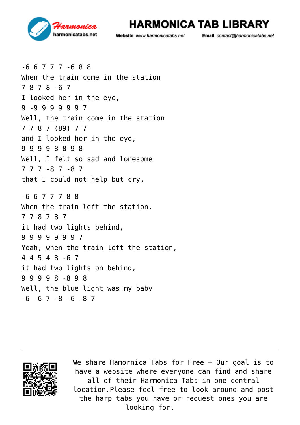

Website: www.harmonicatabs.net

Email: contact@harmonicatabs.net

-6 6 7 7 7 -6 8 8 When the train come in the station 7 8 7 8 -6 7 I looked her in the eye, 9 -9 9 9 9 9 9 7 Well, the train come in the station 7 7 8 7 (89) 7 7 and I looked her in the eye, 9 9 9 9 8 8 9 8 Well, I felt so sad and lonesome 7 7 7 -8 7 -8 7 that I could not help but cry. -6 6 7 7 7 8 8 When the train left the station, 7 7 8 7 8 7 it had two lights behind, 9 9 9 9 9 9 9 7 Yeah, when the train left the station, 4 4 5 4 8 -6 7 it had two lights on behind, 9 9 9 9 8 -8 9 8 Well, the blue light was my baby  $-6$   $-6$   $7$   $-8$   $-6$   $-8$   $7$ 

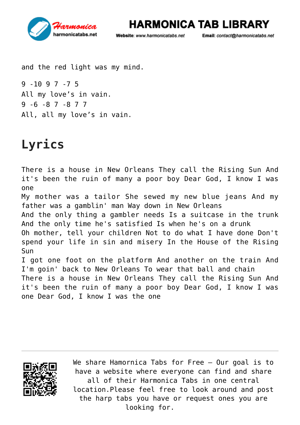

Website: www.harmonicatabs.net

Email: contact@harmonicatabs.net

and the red light was my mind.

9 -10 9 7 -7 5 All my love's in vain. 9 -6 -8 7 -8 7 7 All, all my love's in vain.

### **Lyrics**

There is a house in New Orleans They call the Rising Sun And it's been the ruin of many a poor boy Dear God, I know I was one My mother was a tailor She sewed my new blue jeans And my father was a gamblin' man Way down in New Orleans And the only thing a gambler needs Is a suitcase in the trunk And the only time he's satisfied Is when he's on a drunk Oh mother, tell your children Not to do what I have done Don't spend your life in sin and misery In the House of the Rising **Sun** I got one foot on the platform And another on the train And I'm goin' back to New Orleans To wear that ball and chain There is a house in New Orleans They call the Rising Sun And it's been the ruin of many a poor boy Dear God, I know I was one Dear God, I know I was the one

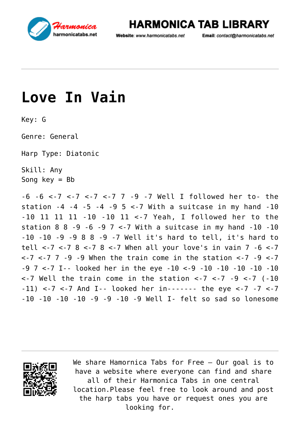

**HARMONICA TAB LIBRARY** 

Email: contact@harmonicatabs.net

## **[Love In Vain](https://harmonicatabs.net/tabs/love-in-vain/)**

Key: G

Genre: General

Harp Type: Diatonic

Skill: Any Song  $key = Bb$ 

 $-6$   $-6$   $-7$   $-7$   $-7$   $-7$   $-7$   $-9$   $-7$  Well I followed her to- the station  $-4$   $-4$   $-5$   $-4$   $-9$   $5$   $\lt$  $-7$  With a suitcase in my hand  $-10$ -10 11 11 11 -10 -10 11 <-7 Yeah, I followed her to the station 8 8 -9 -6 -9 7 <-7 With a suitcase in my hand -10 -10 -10 -10 -9 -9 8 8 -9 -7 Well it's hard to tell, it's hard to tell <-7 <-7 8 <-7 8 <-7 When all your love's in vain 7  $-6$  <-7  $\langle 4-7 \rangle$   $\langle -7 \rangle$   $\langle -7 \rangle$   $\langle -9 \rangle$   $\langle -7 \rangle$   $\langle -9 \rangle$  the station  $\langle -7 \rangle$   $\langle -9 \rangle$   $\langle -7 \rangle$ -9 7 <-7 I-- looked her in the eye -10 <-9 -10 -10 -10 -10 -10  $\lt$ -7 Well the train come in the station  $\lt$ -7  $\lt$ -7  $\lt$ -7  $\lt$ -7 (-10  $-11$ ) <-7 <-7 And I-- looked her in------- the eye <-7 -7 <-7 -10 -10 -10 -10 -9 -9 -10 -9 Well I- felt so sad so lonesome

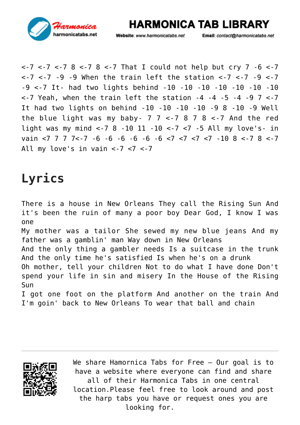

Website: www.harmonicatabs.net

Email: contact@harmonicatabs.net

 $< -7 < -7 < -78 < -78 < -781$  That I could not help but cry 7  $-6 < -7$  $\langle -7 \rangle$   $\langle -7 \rangle$   $\langle -9 \rangle$  -9 When the train left the station  $\langle -7 \rangle$   $\langle -7 \rangle$  -9  $\langle -7 \rangle$ -9 <-7 It- had two lights behind -10 -10 -10 -10 -10 -10 -10  $\lt$ -7 Yeah, when the train left the station -4 -4 -5 -4 -9 7  $\lt$ -7 It had two lights on behind -10 -10 -10 -10 -9 8 -10 -9 Well the blue light was my baby-  $7 \times 7 \times 7 \times 7 \times 7 \times 7$  And the red light was my mind <-7 8 -10 11 -10 <-7 <7 -5 All my love's- in vain <7 7 7 7<-7 -6 -6 -6 -6 -6 -6 <7 <7 <7 <7 -10 8 <-7 8 <-7 All my love's in vain  $\langle -7 \rangle$   $\langle 7 \rangle$   $\langle -7 \rangle$ 

### **Lyrics**

There is a house in New Orleans They call the Rising Sun And it's been the ruin of many a poor boy Dear God, I know I was one My mother was a tailor She sewed my new blue jeans And my father was a gamblin' man Way down in New Orleans And the only thing a gambler needs Is a suitcase in the trunk And the only time he's satisfied Is when he's on a drunk Oh mother, tell your children Not to do what I have done Don't spend your life in sin and misery In the House of the Rising Sun

I got one foot on the platform And another on the train And I'm goin' back to New Orleans To wear that ball and chain

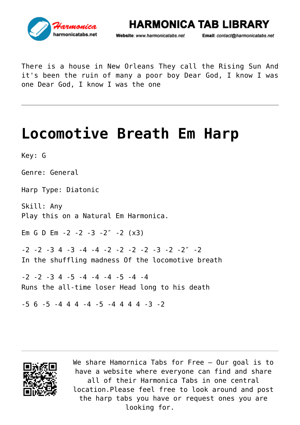

Website: www.harmonicatabs.net

Email: contact@harmonicatabs.net

There is a house in New Orleans They call the Rising Sun And it's been the ruin of many a poor boy Dear God, I know I was one Dear God, I know I was the one

### **[Locomotive Breath Em Harp](https://harmonicatabs.net/tabs/locomotive-breath-em-harp/)**

Key: G

Genre: General

Harp Type: Diatonic

Skill: Any Play this on a Natural Em Harmonica.

Em G D Em -2 -2 -3 -2″ -2 (x3)

-2 -2 -3 4 -3 -4 -4 -2 -2 -2 -2 -3 -2 -2″ -2 In the shuffling madness Of the locomotive breath

-2 -2 -3 4 -5 -4 -4 -4 -5 -4 -4 Runs the all-time loser Head long to his death

-5 6 -5 -4 4 4 -4 -5 -4 4 4 4 -3 -2

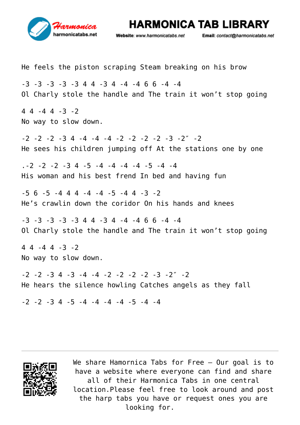

Email: contact@harmonicatabs.net

**HARMONICA TAB LIBRARY** 

He feels the piston scraping Steam breaking on his brow  $-3$   $-3$   $-3$   $-3$   $-3$  4 4  $-3$  4  $-4$   $-4$  6 6  $-4$   $-4$ Ol Charly stole the handle and The train it won't stop going 4 4 -4 4 -3 -2 No way to slow down. -2 -2 -2 -3 4 -4 -4 -4 -2 -2 -2 -2 -3 -2″ -2 He sees his children jumping off At the stations one by one .-2 -2 -2 -3 4 -5 -4 -4 -4 -4 -5 -4 -4 His woman and his best frend In bed and having fun -5 6 -5 -4 4 4 -4 -4 -5 -4 4 -3 -2 He's crawlin down the coridor On his hands and knees -3 -3 -3 -3 -3 4 4 -3 4 -4 -4 6 6 -4 -4 Ol Charly stole the handle and The train it won't stop going 4 4 -4 4 -3 -2 No way to slow down.  $-2$   $-2$   $-3$   $4$   $-3$   $-4$   $-4$   $-2$   $-2$   $-2$   $-2$   $-3$   $-2$ "  $-2$ He hears the silence howling Catches angels as they fall -2 -2 -3 4 -5 -4 -4 -4 -4 -5 -4 -4

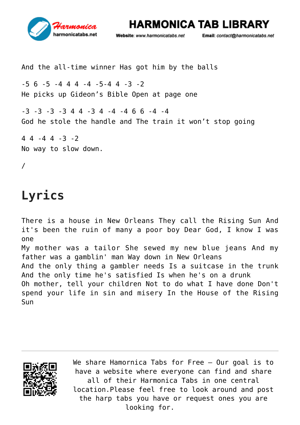

Website: www.harmonicatabs.net

Email: contact@harmonicatabs.net

And the all-time winner Has got him by the balls  $-5$  6  $-5$   $-4$  4 4  $-4$   $-5$  $-4$  4  $-3$   $-2$ He picks up Gideon's Bible Open at page one -3 -3 -3 -3 4 4 -3 4 -4 -4 6 6 -4 -4 God he stole the handle and The train it won't stop going 4 4 -4 4 -3 -2 No way to slow down. /

**Lyrics**

There is a house in New Orleans They call the Rising Sun And it's been the ruin of many a poor boy Dear God, I know I was one My mother was a tailor She sewed my new blue jeans And my father was a gamblin' man Way down in New Orleans And the only thing a gambler needs Is a suitcase in the trunk And the only time he's satisfied Is when he's on a drunk Oh mother, tell your children Not to do what I have done Don't spend your life in sin and misery In the House of the Rising Sun

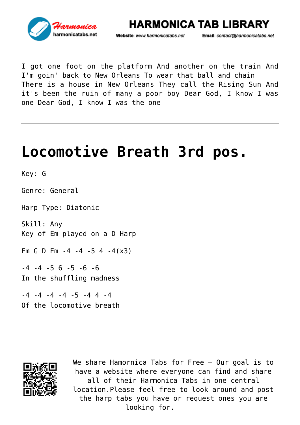

Email: contact@harmonicatabs.net

**HARMONICA TAB LIBRARY** 

I got one foot on the platform And another on the train And I'm goin' back to New Orleans To wear that ball and chain There is a house in New Orleans They call the Rising Sun And it's been the ruin of many a poor boy Dear God, I know I was one Dear God, I know I was the one

## **[Locomotive Breath 3rd pos.](https://harmonicatabs.net/tabs/locomotive-breath-3rd-pos/)**

Key: G

Genre: General

Harp Type: Diatonic

Skill: Any Key of Em played on a D Harp

Em G D Em  $-4$   $-4$   $-5$  4  $-4(x3)$ 

 $-4$   $-4$   $-5$   $6$   $-5$   $-6$   $-6$ In the shuffling madness

-4 -4 -4 -4 -5 -4 4 -4 Of the locomotive breath

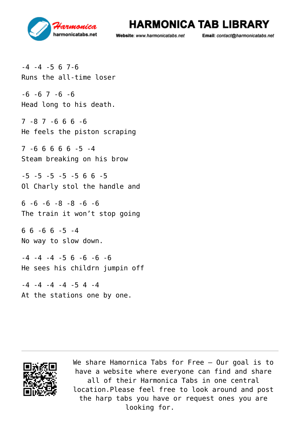

Website: www.harmonicatabs.net

Email: contact@harmonicatabs.net

 $-4$   $-4$   $-5$  6 7 $-6$ Runs the all-time loser

 $-6$   $-6$   $7$   $-6$   $-6$ Head long to his death.

7 -8 7 -6 6 6 -6 He feels the piston scraping

7 -6 6 6 6 6 -5 -4 Steam breaking on his brow

-5 -5 -5 -5 -5 6 6 -5 Ol Charly stol the handle and

6 -6 -6 -8 -8 -6 -6 The train it won't stop going

6 6 -6 6 -5 -4 No way to slow down.

-4 -4 -4 -5 6 -6 -6 -6 He sees his childrn jumpin off

-4 -4 -4 -4 -5 4 -4 At the stations one by one.

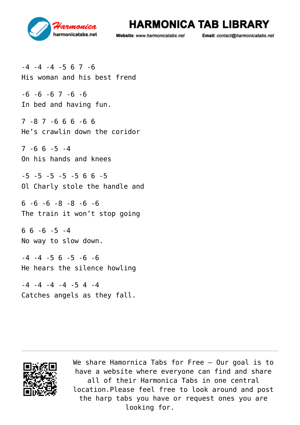

Website: www.harmonicatabs.net

Email: contact@harmonicatabs.net

 $-4$   $-4$   $-4$   $-5$  6 7  $-6$ His woman and his best frend

 $-6$   $-6$   $-6$   $7$   $-6$   $-6$ In bed and having fun.

7 -8 7 -6 6 6 -6 6 He's crawlin down the coridor

 $7 - 6 6 - 5 - 4$ On his hands and knees

 $-5$   $-5$   $-5$   $-5$   $-5$  6 6  $-5$ Ol Charly stole the handle and

6 -6 -6 -8 -8 -6 -6 The train it won't stop going

 $6 \t6 \t-6 \t-5 \t-4$ No way to slow down.

 $-4$   $-4$   $-5$   $6$   $-5$   $-6$   $-6$ He hears the silence howling

 $-4$   $-4$   $-4$   $-5$   $4$   $-4$ Catches angels as they fall.

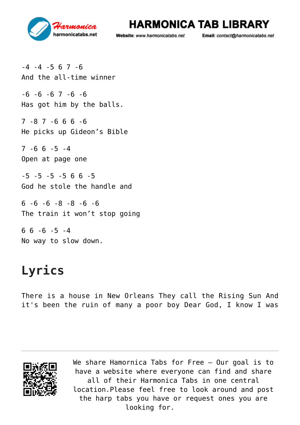

Website: www.harmonicatabs.net

Email: contact@harmonicatabs.net

 $-4$   $-4$   $-5$  6 7  $-6$ And the all-time winner

 $-6$   $-6$   $-6$   $7$   $-6$   $-6$ Has got him by the balls.

7 -8 7 -6 6 6 -6 He picks up Gideon's Bible

 $7 - 6 + 5 - 4$ Open at page one

 $-5$   $-5$   $-5$   $-5$  6 6  $-5$ God he stole the handle and

6 -6 -6 -8 -8 -6 -6 The train it won't stop going

 $6 \t6 \t-6 \t-5 \t-4$ No way to slow down.

### **Lyrics**

There is a house in New Orleans They call the Rising Sun And it's been the ruin of many a poor boy Dear God, I know I was

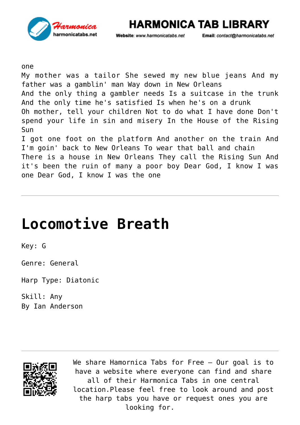

Email: contact@harmonicatabs.net

**HARMONICA TAB LIBRARY** 

one

My mother was a tailor She sewed my new blue jeans And my father was a gamblin' man Way down in New Orleans And the only thing a gambler needs Is a suitcase in the trunk And the only time he's satisfied Is when he's on a drunk Oh mother, tell your children Not to do what I have done Don't spend your life in sin and misery In the House of the Rising Sun

I got one foot on the platform And another on the train And I'm goin' back to New Orleans To wear that ball and chain There is a house in New Orleans They call the Rising Sun And it's been the ruin of many a poor boy Dear God, I know I was one Dear God, I know I was the one

## **[Locomotive Breath](https://harmonicatabs.net/tabs/locomotive-breath/)**

Key: G

Genre: General

Harp Type: Diatonic

Skill: Any By Ian Anderson

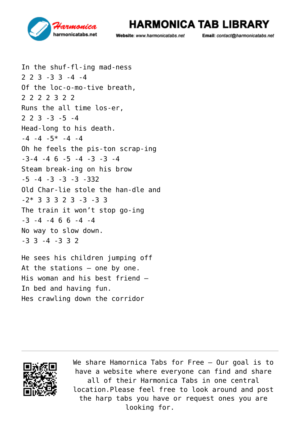

Website: www.harmonicatabs.net

Email: contact@harmonicatabs.net

In the shuf-fl-ing mad-ness 2 2 3 -3 3 -4 -4 Of the loc-o-mo-tive breath, 2 2 2 2 3 2 2 Runs the all time los-er, 2 2 3 -3 -5 -4 Head-long to his death. -4 -4 -5\* -4 -4 Oh he feels the pis-ton scrap-ing -3-4 -4 6 -5 -4 -3 -3 -4 Steam break-ing on his brow -5 -4 -3 -3 -3 -332 Old Char-lie stole the han-dle and -2\* 3 3 3 2 3 -3 -3 3 The train it won't stop go-ing  $-3$   $-4$   $-4$  6 6  $-4$   $-4$ No way to slow down. -3 3 -4 -3 3 2

He sees his children jumping off At the stations — one by one. His woman and his best friend — In bed and having fun. Hes crawling down the corridor

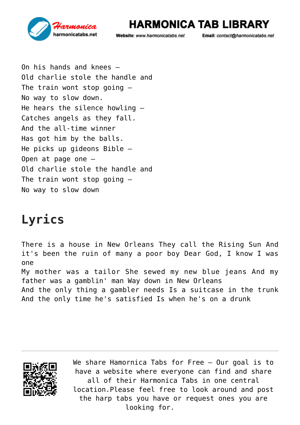

Website: www.harmonicatabs.net

Email: contact@harmonicatabs.net

On his hands and knees — Old charlie stole the handle and The train wont stop going  $-$ No way to slow down. He hears the silence howling — Catches angels as they fall. And the all-time winner Has got him by the balls. He picks up gideons Bible — Open at page one — Old charlie stole the handle and The train wont stop going  $-$ No way to slow down

# **Lyrics**

There is a house in New Orleans They call the Rising Sun And it's been the ruin of many a poor boy Dear God, I know I was one My mother was a tailor She sewed my new blue jeans And my father was a gamblin' man Way down in New Orleans And the only thing a gambler needs Is a suitcase in the trunk And the only time he's satisfied Is when he's on a drunk

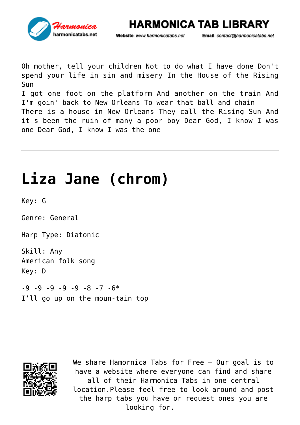

Website: www.harmonicatabs.net

Email: contact@harmonicatabs.net

Oh mother, tell your children Not to do what I have done Don't spend your life in sin and misery In the House of the Rising Sun I got one foot on the platform And another on the train And

I'm goin' back to New Orleans To wear that ball and chain There is a house in New Orleans They call the Rising Sun And it's been the ruin of many a poor boy Dear God, I know I was one Dear God, I know I was the one

# **[Liza Jane \(chrom\)](https://harmonicatabs.net/tabs/liza-jane-chrom/)**

Key: G

Genre: General

Harp Type: Diatonic

Skill: Any American folk song Key: D

 $-9$   $-9$   $-9$   $-9$   $-9$   $-8$   $-7$   $-6*$ I'll go up on the moun-tain top

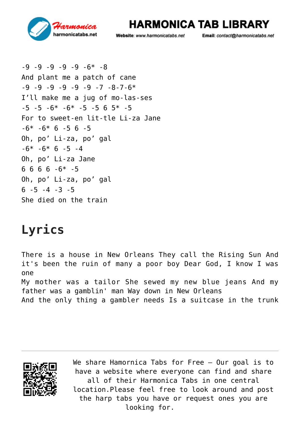

Website: www.harmonicatabs.net

Email: contact@harmonicatabs.net

 $-9 -9 -9 -9 -9 -6* -8$ And plant me a patch of cane -9 -9 -9 -9 -9 -9 -7 -8-7-6\* I'll make me a jug of mo-las-ses  $-5$   $-5$   $-6$ \*  $-6$ \*  $-5$   $-5$  6  $5$ \*  $-5$ For to sweet-en lit-tle Li-za Jane  $-6* -6* 6 -5 6 -5$ Oh, po' Li-za, po' gal  $-6* -6* 6 -5 -4$ Oh, po' Li-za Jane  $6 6 6 -6* -5$ Oh, po' Li-za, po' gal  $6 - 5 - 4 - 3 - 5$ She died on the train

# **Lyrics**

There is a house in New Orleans They call the Rising Sun And it's been the ruin of many a poor boy Dear God, I know I was one My mother was a tailor She sewed my new blue jeans And my father was a gamblin' man Way down in New Orleans

And the only thing a gambler needs Is a suitcase in the trunk

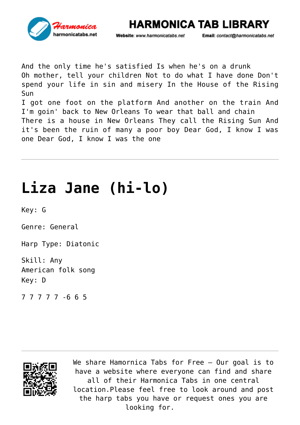

Email: contact@harmonicatabs.net

And the only time he's satisfied Is when he's on a drunk Oh mother, tell your children Not to do what I have done Don't spend your life in sin and misery In the House of the Rising Sun I got one foot on the platform And another on the train And I'm goin' back to New Orleans To wear that ball and chain There is a house in New Orleans They call the Rising Sun And it's been the ruin of many a poor boy Dear God, I know I was one Dear God, I know I was the one

Website: www.harmonicatabs.net

# **[Liza Jane \(hi-lo\)](https://harmonicatabs.net/tabs/liza-jane-hi-lo/)**

Key: G

Genre: General

Harp Type: Diatonic

Skill: Any American folk song Key: D

7 7 7 7 7 -6 6 5

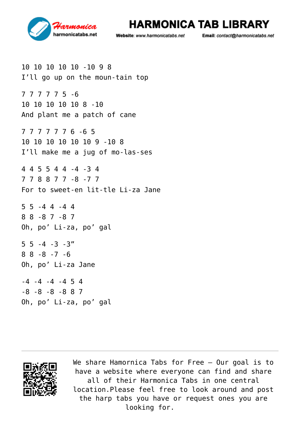

Website: www.harmonicatabs.net

Email: contact@harmonicatabs.net

10 10 10 10 10 -10 9 8 I'll go up on the moun-tain top

7 7 7 7 7 5 -6 10 10 10 10 10 8 -10 And plant me a patch of cane

7 7 7 7 7 7 6 -6 5 10 10 10 10 10 10 9 -10 8 I'll make me a jug of mo-las-ses

4 4 5 5 4 4 -4 -3 4 7 7 8 8 7 7 -8 -7 7 For to sweet-en lit-tle Li-za Jane

5 5 -4 4 -4 4 8 8 -8 7 -8 7 Oh, po' Li-za, po' gal

5 5 -4 -3 -3" 8 8 -8 -7 -6 Oh, po' Li-za Jane

-4 -4 -4 -4 5 4 -8 -8 -8 -8 8 7 Oh, po' Li-za, po' gal

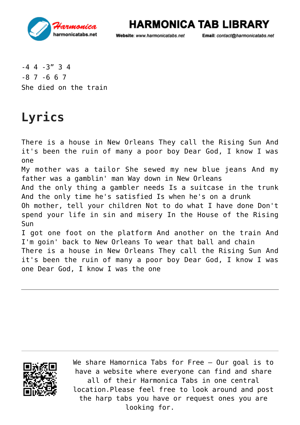

Website: www.harmonicatabs.net

Email: contact@harmonicatabs.net

 $-4$  4  $-3$ " 3 4 -8 7 -6 6 7 She died on the train

### **Lyrics**

There is a house in New Orleans They call the Rising Sun And it's been the ruin of many a poor boy Dear God, I know I was one My mother was a tailor She sewed my new blue jeans And my father was a gamblin' man Way down in New Orleans And the only thing a gambler needs Is a suitcase in the trunk And the only time he's satisfied Is when he's on a drunk Oh mother, tell your children Not to do what I have done Don't spend your life in sin and misery In the House of the Rising Sun I got one foot on the platform And another on the train And I'm goin' back to New Orleans To wear that ball and chain There is a house in New Orleans They call the Rising Sun And it's been the ruin of many a poor boy Dear God, I know I was one Dear God, I know I was the one

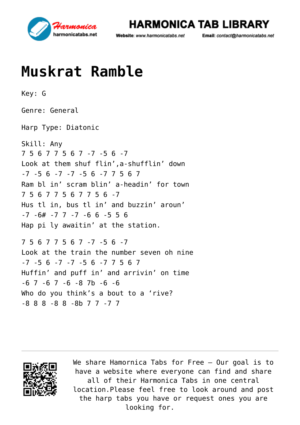

Website: www.harmonicatabs.net

Email: contact@harmonicatabs.net

# **[Muskrat Ramble](https://harmonicatabs.net/tabs/muskrat-ramble/)**

Key: G Genre: General Harp Type: Diatonic Skill: Any 7 5 6 7 7 5 6 7 -7 -5 6 -7 Look at them shuf flin',a-shufflin' down -7 -5 6 -7 -7 -5 6 -7 7 5 6 7 Ram bl in' scram blin' a-headin' for town 7 5 6 7 7 5 6 7 7 5 6 -7 Hus tl in, bus tl in' and buzzin' aroun' -7 -6# -7 7 -7 -6 6 -5 5 6 Hap pi ly awaitin' at the station. 7 5 6 7 7 5 6 7 -7 -5 6 -7

Look at the train the number seven oh nine -7 -5 6 -7 -7 -5 6 -7 7 5 6 7 Huffin' and puff in' and arrivin' on time -6 7 -6 7 -6 -8 7b -6 -6 Who do you think's a bout to a 'rive? -8 8 8 -8 8 -8b 7 7 -7 7

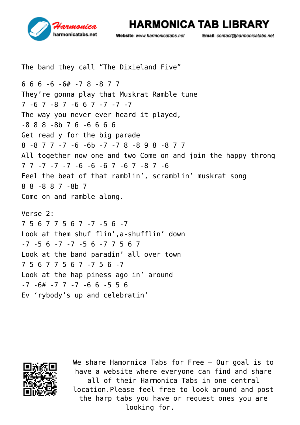

Website: www.harmonicatabs.net

Email: contact@harmonicatabs.net

The band they call "The Dixieland Five"

6 6 6 -6 -6# -7 8 -8 7 7 They're gonna play that Muskrat Ramble tune 7 -6 7 -8 7 -6 6 7 -7 -7 -7 The way you never ever heard it played, -8 8 8 -8b 7 6 -6 6 6 6 Get read y for the big parade 8 -8 7 7 -7 -6 -6b -7 -7 8 -8 9 8 -8 7 7 All together now one and two Come on and join the happy throng 7 7 -7 -7 -7 -6 -6 -6 7 -6 7 -8 7 -6 Feel the beat of that ramblin', scramblin' muskrat song 8 8 -8 8 7 -8b 7 Come on and ramble along. Verse 2: 7 5 6 7 7 5 6 7 -7 -5 6 -7 Look at them shuf flin',a-shufflin' down -7 -5 6 -7 -7 -5 6 -7 7 5 6 7 Look at the band paradin' all over town 7 5 6 7 7 5 6 7 -7 5 6 -7 Look at the hap piness ago in' around -7 -6# -7 7 -7 -6 6 -5 5 6 Ev 'rybody's up and celebratin'

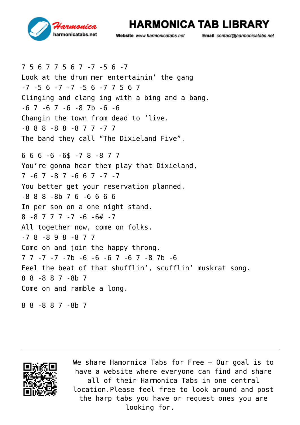

Website: www.harmonicatabs.net

Email: contact@harmonicatabs.net

7 5 6 7 7 5 6 7 -7 -5 6 -7 Look at the drum mer entertainin' the gang -7 -5 6 -7 -7 -5 6 -7 7 5 6 7 Clinging and clang ing with a bing and a bang. -6 7 -6 7 -6 -8 7b -6 -6 Changin the town from dead to 'live. -8 8 8 -8 8 -8 7 7 -7 7 The band they call "The Dixieland Five". 6 6 6 -6 -6\$ -7 8 -8 7 7 You're gonna hear them play that Dixieland, 7 -6 7 -8 7 -6 6 7 -7 -7 You better get your reservation planned. -8 8 8 -8b 7 6 -6 6 6 6 In per son on a one night stand. 8 -8 7 7 7 -7 -6 -6# -7 All together now, come on folks. -7 8 -8 9 8 -8 7 7 Come on and join the happy throng. 7 7 -7 -7 -7b -6 -6 -6 7 -6 7 -8 7b -6 Feel the beat of that shufflin', scufflin' muskrat song. 8 8 -8 8 7 -8b 7 Come on and ramble a long.

8 8 -8 8 7 -8b 7

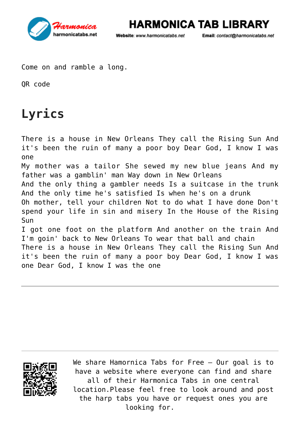

Website: www.harmonicatabs.net

Email: contact@harmonicatabs.net

Come on and ramble a long.

QR code

# **Lyrics**

There is a house in New Orleans They call the Rising Sun And it's been the ruin of many a poor boy Dear God, I know I was one

My mother was a tailor She sewed my new blue jeans And my father was a gamblin' man Way down in New Orleans

And the only thing a gambler needs Is a suitcase in the trunk And the only time he's satisfied Is when he's on a drunk

Oh mother, tell your children Not to do what I have done Don't spend your life in sin and misery In the House of the Rising Sun

I got one foot on the platform And another on the train And I'm goin' back to New Orleans To wear that ball and chain There is a house in New Orleans They call the Rising Sun And it's been the ruin of many a poor boy Dear God, I know I was one Dear God, I know I was the one

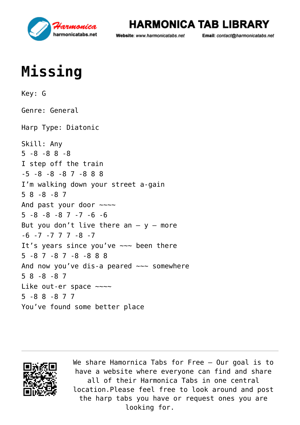

**HARMONICA TAB LIBRARY** 

Website: www.harmonicatabs.net

Email: contact@harmonicatabs.net

# **[Missing](https://harmonicatabs.net/tabs/missing/)**

Key: G Genre: General Harp Type: Diatonic Skill: Any 5 -8 -8 8 -8 I step off the train -5 -8 -8 -8 7 -8 8 8 I'm walking down your street a-gain 5 8 -8 -8 7 And past your door  $\sim\sim$ 5 -8 -8 -8 7 -7 -6 -6 But you don't live there an  $-$  y  $-$  more  $-6$   $-7$   $-7$   $7$   $7$   $-8$   $-7$ It's years since you've  $\sim$  been there 5 -8 7 -8 7 -8 -8 8 8 And now you've dis-a peared  $\sim\sim$  somewhere 5 8 -8 -8 7 Like out-er space ~~~~ 5 -8 8 -8 7 7 You've found some better place

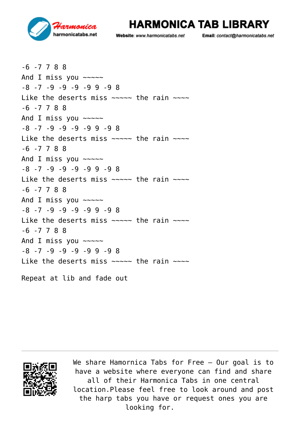

Website: www.harmonicatabs.net

Email: contact@harmonicatabs.net

-6 -7 7 8 8 And I miss you  $\sim\sim\sim\sim$  $-8$   $-7$   $-9$   $-9$   $-9$   $-9$   $-9$   $-9$   $-8$ Like the deserts miss  $\sim\sim\sim\sim$  the rain  $\sim\sim\sim$ -6 -7 7 8 8 And I miss you  $\sim\sim\sim\sim$ -8 -7 -9 -9 -9 -9 9 -9 8 Like the deserts miss  $\sim\sim\sim\sim$  the rain  $\sim\sim\sim$ -6 -7 7 8 8 And I miss you  $\sim\sim\sim\sim$  $-8$   $-7$   $-9$   $-9$   $-9$   $-9$   $-9$  9  $-9$  8 Like the deserts miss  $\sim\sim\sim\sim$  the rain  $\sim\sim\sim$ -6 -7 7 8 8 And I miss you ~~~~~ -8 -7 -9 -9 -9 -9 9 -9 8 Like the deserts miss  $\sim\sim\sim$  the rain  $\sim\sim\sim$ -6 -7 7 8 8 And I miss you  $\sim\sim\sim\sim$ -8 -7 -9 -9 -9 -9 9 -9 8 Like the deserts miss  $\sim\sim\sim\sim$  the rain  $\sim\sim\sim$ 

Repeat at lib and fade out

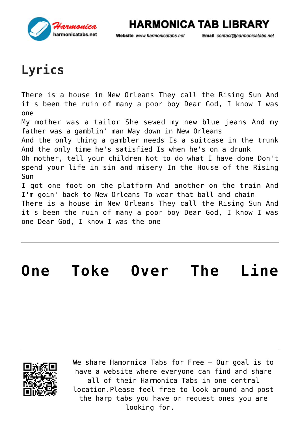

Website: www.harmonicatabs.net

Email: contact@harmonicatabs.net

# **Lyrics**

There is a house in New Orleans They call the Rising Sun And it's been the ruin of many a poor boy Dear God, I know I was one My mother was a tailor She sewed my new blue jeans And my father was a gamblin' man Way down in New Orleans And the only thing a gambler needs Is a suitcase in the trunk And the only time he's satisfied Is when he's on a drunk Oh mother, tell your children Not to do what I have done Don't spend your life in sin and misery In the House of the Rising Sun I got one foot on the platform And another on the train And I'm goin' back to New Orleans To wear that ball and chain There is a house in New Orleans They call the Rising Sun And it's been the ruin of many a poor boy Dear God, I know I was one Dear God, I know I was the one

# **[One Toke Over The Line](https://harmonicatabs.net/tabs/one-toke-over-the-line-chromatic/)**

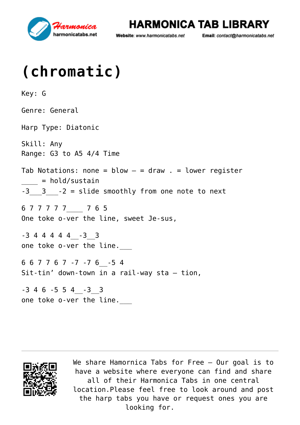

**HARMONICA TAB LIBRARY** 

Website: www.harmonicatabs.net

Email: contact@harmonicatabs.net

# **[\(chromatic\)](https://harmonicatabs.net/tabs/one-toke-over-the-line-chromatic/)**

Key: G Genre: General Harp Type: Diatonic Skill: Any Range: G3 to A5 4/4 Time Tab Notations: none =  $blow - =$  draw . = lower register  $=$  hold/sustain -3 3 -2 = slide smoothly from one note to next 6 7 7 7 7 7\_\_\_\_ 7 6 5 One toke o-ver the line, sweet Je-sus,  $-3$  4 4 4 4 4  $-3$  3 one toke o-ver the line. 6 6 7 7 6 7 -7 -7 6\_\_-5 4 Sit-tin' down-town in a rail-way sta – tion,  $-3$  4 6  $-5$  5 4  $-3$  3 one toke o-ver the line.\_

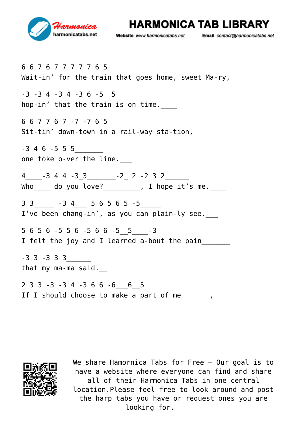

Website: www.harmonicatabs.net

Email: contact@harmonicatabs.net

6 6 7 6 7 7 7 7 7 6 5 Wait-in' for the train that goes home, sweet Ma-ry, -3 -3 4 -3 4 -3 6 -5\_\_5\_\_\_\_ hop-in' that the train is on time. 6 6 7 7 6 7 -7 -7 6 5 Sit-tin' down-town in a rail-way sta-tion, -3 4 6 -5 5 5\_\_\_\_\_\_\_ one toke o-ver the line. 4\_\_\_\_-3 4 4 -3\_3\_\_\_\_\_\_\_-2\_ 2 -2 3 2\_\_\_\_\_\_ Who  $\qquad$  do you love? $\qquad \qquad$ , I hope it's me. 3 3\_\_\_\_\_ -3 4\_\_\_ 5 6 5 6 5 -5\_\_\_\_\_ I've been chang-in', as you can plain-ly see. 5 6 5 6 -5 5 6 -5 6 6 -5\_\_5\_\_\_\_-3 I felt the joy and I learned a-bout the pain -3 3 -3 3 3\_\_\_\_\_\_ that my ma-ma said.\_\_ 2 3 3 -3 -3 4 -3 6 6 -6\_\_\_6\_\_5 If I should choose to make a part of me

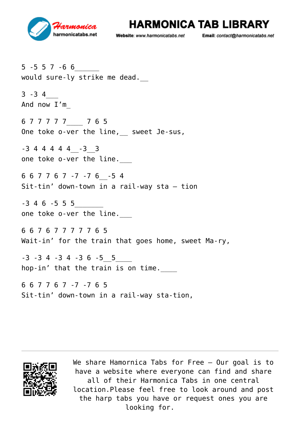

Website: www.harmonicatabs.net

Email: contact@harmonicatabs.net

5 -5 5 7 -6 6\_\_\_\_\_\_ would sure-ly strike me dead.

3 -3 4\_\_\_ And now I'm\_

6 7 7 7 7 7\_\_\_\_ 7 6 5 One toke o-ver the line, \_ sweet Je-sus,

-3 4 4 4 4 4 -3 3 one toke o-ver the line.

6 6 7 7 6 7 -7 -7 6\_\_-5 4 Sit-tin' down-town in a rail-way sta – tion

-3 4 6 -5 5 5\_\_\_\_\_\_\_ one toke o-ver the line.

6 6 7 6 7 7 7 7 7 6 5 Wait-in' for the train that goes home, sweet Ma-ry,

-3 -3 4 -3 4 -3 6 -5\_\_5\_\_\_\_ hop-in' that the train is on time.

6 6 7 7 6 7 -7 -7 6 5 Sit-tin' down-town in a rail-way sta-tion,

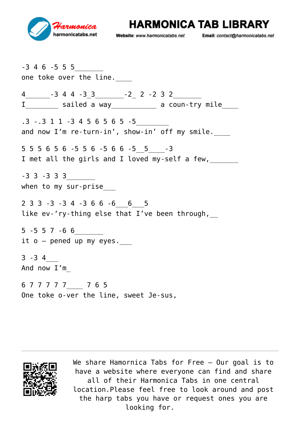

Website: www.harmonicatabs.net

Email: contact@harmonicatabs.net

-3 4 6 -5 5 5\_\_\_\_\_\_\_ one toke over the line. 4\_\_\_\_\_\_-3 4 4 -3\_3\_\_\_\_\_\_\_-2\_ 2 -2 3 2\_\_\_\_\_\_\_ I\_\_\_\_\_\_\_\_\_\_ sailed a way\_\_\_\_\_\_\_\_\_\_\_\_ a coun-try mile\_\_\_\_\_ .3 -.3 1 1 -3 4 5 6 5 6 5 -5\_\_\_\_\_\_\_\_ and now I'm re-turn-in', show-in' off my smile. 5 5 5 6 5 6 -5 5 6 -5 6 6 -5\_\_5\_\_\_\_-3 I met all the girls and I loved my-self a few, -3 3 -3 3 3\_\_\_\_\_\_\_ when to my sur-prise 2 3 3 -3 -3 4 -3 6 6 -6\_\_\_6\_\_\_5 like ev-'ry-thing else that I've been through, 5 -5 5 7 -6 6\_\_\_\_\_\_\_ it  $o$  – pened up my eyes. 3 -3 4\_\_\_ And now I'm\_ 6 7 7 7 7 7\_\_\_\_ 7 6 5 One toke o-ver the line, sweet Je-sus,

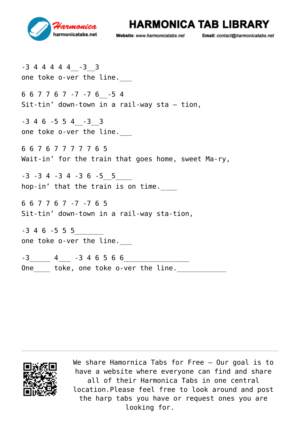

Website: www.harmonicatabs.net

Email: contact@harmonicatabs.net

 $-3$  4 4 4 4 4  $-3$  3 one toke o-ver the line. 6 6 7 7 6 7 -7 -7 6\_\_-5 4 Sit-tin' down-town in a rail-way sta – tion, -3 4 6 -5 5 4\_\_-3\_\_3 one toke o-ver the line. 6 6 7 6 7 7 7 7 7 6 5 Wait-in' for the train that goes home, sweet Ma-ry, -3 -3 4 -3 4 -3 6 -5\_\_5\_\_\_\_ hop-in' that the train is on time. 6 6 7 7 6 7 -7 -7 6 5 Sit-tin' down-town in a rail-way sta-tion, -3 4 6 -5 5 5\_\_\_\_\_\_\_ one toke o-ver the line.  $-3$   $4$   $-3$   $4$  6 5 6 6 One\_\_\_\_ toke, one toke o-ver the line.\_\_\_\_\_\_\_\_\_\_\_\_

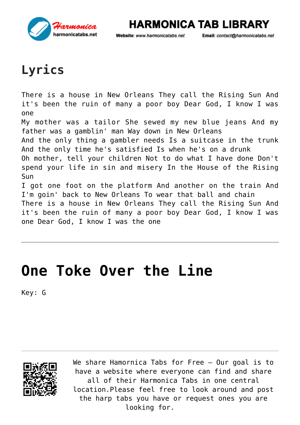

Website: www.harmonicatabs.net

Email: contact@harmonicatabs.net

## **Lyrics**

There is a house in New Orleans They call the Rising Sun And it's been the ruin of many a poor boy Dear God, I know I was one My mother was a tailor She sewed my new blue jeans And my father was a gamblin' man Way down in New Orleans And the only thing a gambler needs Is a suitcase in the trunk And the only time he's satisfied Is when he's on a drunk Oh mother, tell your children Not to do what I have done Don't spend your life in sin and misery In the House of the Rising Sun I got one foot on the platform And another on the train And I'm goin' back to New Orleans To wear that ball and chain There is a house in New Orleans They call the Rising Sun And it's been the ruin of many a poor boy Dear God, I know I was one Dear God, I know I was the one

# **[One Toke Over the Line](https://harmonicatabs.net/tabs/one-toke-over-the-line/)**

Key: G

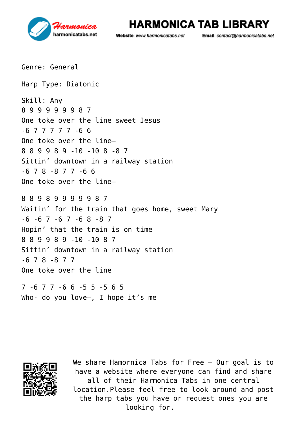

Website: www.harmonicatabs.net

Email: contact@harmonicatabs.net

Genre: General Harp Type: Diatonic Skill: Any 8 9 9 9 9 9 9 8 7 One toke over the line sweet Jesus -6 7 7 7 7 7 -6 6 One toke over the line– 8 8 9 9 8 9 -10 -10 8 -8 7 Sittin' downtown in a railway station -6 7 8 -8 7 7 -6 6 One toke over the line– 8 8 9 8 9 9 9 9 9 8 7 Waitin' for the train that goes home, sweet Mary -6 -6 7 -6 7 -6 8 -8 7 Hopin' that the train is on time 8 8 9 9 8 9 -10 -10 8 7 Sittin' downtown in a railway station -6 7 8 -8 7 7 One toke over the line 7 -6 7 7 -6 6 -5 5 -5 6 5 Who- do you love—, I hope it's me

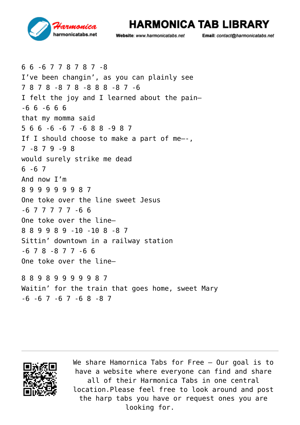

Website: www.harmonicatabs.net

Email: contact@harmonicatabs.net

6 6 -6 7 7 8 7 8 7 -8 I've been changin', as you can plainly see 7 8 7 8 -8 7 8 -8 8 8 -8 7 -6 I felt the joy and I learned about the pain— -6 6 -6 6 6 that my momma said 5 6 6 -6 -6 7 -6 8 8 -9 8 7 If I should choose to make a part of me—-, 7 -8 7 9 -9 8 would surely strike me dead 6 -6 7 And now I'm 8 9 9 9 9 9 9 8 7 One toke over the line sweet Jesus -6 7 7 7 7 7 -6 6 One toke over the line– 8 8 9 9 8 9 -10 -10 8 -8 7 Sittin' downtown in a railway station -6 7 8 -8 7 7 -6 6 One toke over the line– 8 8 9 8 9 9 9 9 9 8 7 Waitin' for the train that goes home, sweet Mary -6 -6 7 -6 7 -6 8 -8 7

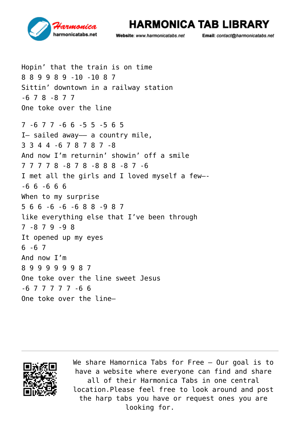

Website: www.harmonicatabs.net

Email: contact@harmonicatabs.net

Hopin' that the train is on time 8 8 9 9 8 9 -10 -10 8 7 Sittin' downtown in a railway station -6 7 8 -8 7 7 One toke over the line 7 -6 7 7 -6 6 -5 5 -5 6 5 I— sailed away—– a country mile, 3 3 4 4 -6 7 8 7 8 7 -8 And now I'm returnin' showin' off a smile 7 7 7 7 8 -8 7 8 -8 8 8 -8 7 -6 I met all the girls and I loved myself a few—- -6 6 -6 6 6 When to my surprise 5 6 6 -6 -6 -6 8 8 -9 8 7 like everything else that I've been through 7 -8 7 9 -9 8 It opened up my eyes 6 -6 7 And now I'm 8 9 9 9 9 9 9 8 7 One toke over the line sweet Jesus -6 7 7 7 7 7 -6 6 One toke over the line–

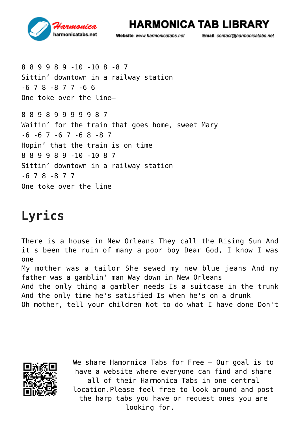

Website: www.harmonicatabs.net

Email: contact@harmonicatabs.net

8 8 9 9 8 9 -10 -10 8 -8 7 Sittin' downtown in a railway station -6 7 8 -8 7 7 -6 6 One toke over the line–

8 8 9 8 9 9 9 9 9 8 7 Waitin' for the train that goes home, sweet Mary -6 -6 7 -6 7 -6 8 -8 7 Hopin' that the train is on time 8 8 9 9 8 9 -10 -10 8 7 Sittin' downtown in a railway station -6 7 8 -8 7 7 One toke over the line

### **Lyrics**

There is a house in New Orleans They call the Rising Sun And it's been the ruin of many a poor boy Dear God, I know I was one My mother was a tailor She sewed my new blue jeans And my father was a gamblin' man Way down in New Orleans And the only thing a gambler needs Is a suitcase in the trunk And the only time he's satisfied Is when he's on a drunk Oh mother, tell your children Not to do what I have done Don't

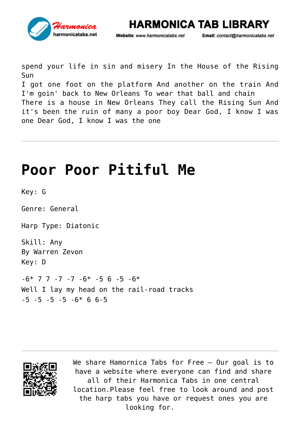

Website: www.harmonicatabs.net

Email: contact@harmonicatabs.net

**HARMONICA TAB LIBRARY** 

spend your life in sin and misery In the House of the Rising Sun

I got one foot on the platform And another on the train And I'm goin' back to New Orleans To wear that ball and chain There is a house in New Orleans They call the Rising Sun And it's been the ruin of many a poor boy Dear God, I know I was one Dear God, I know I was the one

## **[Poor Poor Pitiful Me](https://harmonicatabs.net/tabs/poor-poor-pitiful-me/)**

Key: G

Genre: General

Harp Type: Diatonic

Skill: Any By Warren Zevon Key: D

 $-6*$  7 7  $-7$   $-7$   $-6*$   $-5$  6  $-5$   $-6*$ Well I lay my head on the rail-road tracks  $-5$   $-5$   $-5$   $-5$   $-6$ \* 6 6  $-5$ 

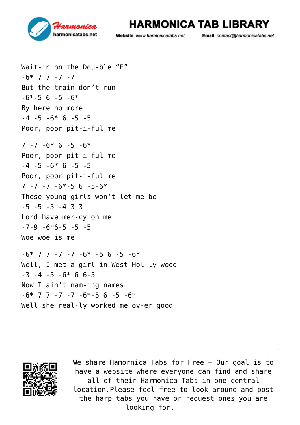

Website: www.harmonicatabs.net

Email: contact@harmonicatabs.net

Wait-in on the Dou-ble "E"  $-6*$  7 7  $-7$   $-7$ But the train don't run  $-6*-5$  6  $-5$   $-6*$ By here no more  $-4$   $-5$   $-6$ \* 6  $-5$   $-5$ Poor, poor pit-i-ful me 7 -7 -6\* 6 -5 -6\* Poor, poor pit-i-ful me  $-4$   $-5$   $-6$ \* 6  $-5$   $-5$ Poor, poor pit-i-ful me 7 -7 -7 -6\*-5 6 -5-6\* These young girls won't let me be -5 -5 -5 -4 3 3 Lord have mer-cy on me  $-7-9$   $-6*6-5$   $-5$   $-5$ Woe woe is me  $-6*$  7 7  $-7$   $-7$   $-6*$   $-5$  6  $-5$   $-6*$ Well, I met a girl in West Hol-ly-wood  $-3$   $-4$   $-5$   $-6*$  6 6 - 5 Now I ain't nam-ing names  $-6*$  7 7  $-7$   $-7$   $-6*$  -5 6  $-5$   $-6*$ Well she real-ly worked me ov-er good

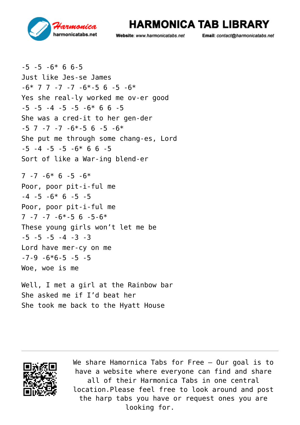

Website: www.harmonicatabs.net

Email: contact@harmonicatabs.net

 $-5$   $-5$   $-6*$  6 6  $-5$ Just like Jes-se James  $-6*$  7 7  $-7$   $-7$   $-6*$  -5 6  $-5$   $-6*$ Yes she real-ly worked me ov-er good -5 -5 -4 -5 -5 -6\* 6 6 -5 She was a cred-it to her gen-der  $-5$  7  $-7$   $-7$   $-6$ \* $-5$  6  $-5$   $-6$ \* She put me through some chang-es, Lord  $-5$   $-4$   $-5$   $-5$   $-6$ \* 6 6  $-5$ Sort of like a War-ing blend-er 7 -7 -6\* 6 -5 -6\*

Poor, poor pit-i-ful me  $-4$   $-5$   $-6*$  6  $-5$   $-5$ Poor, poor pit-i-ful me 7 -7 -7 -6\*-5 6 -5-6\* These young girls won't let me be -5 -5 -5 -4 -3 -3 Lord have mer-cy on me  $-7-9$   $-6*6-5$   $-5$   $-5$ Woe, woe is me

Well, I met a girl at the Rainbow bar She asked me if I'd beat her She took me back to the Hyatt House

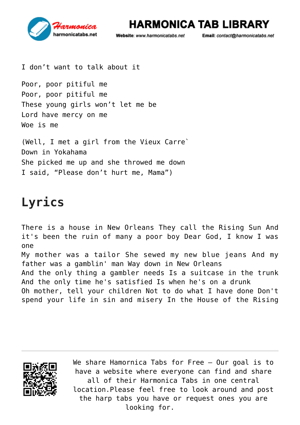

Website: www.harmonicatabs.net

Email: contact@harmonicatabs.net

I don't want to talk about it

Poor, poor pitiful me Poor, poor pitiful me These young girls won't let me be Lord have mercy on me Woe is me

(Well, I met a girl from the Vieux Carre` Down in Yokahama She picked me up and she throwed me down I said, "Please don't hurt me, Mama")

# **Lyrics**

There is a house in New Orleans They call the Rising Sun And it's been the ruin of many a poor boy Dear God, I know I was one My mother was a tailor She sewed my new blue jeans And my father was a gamblin' man Way down in New Orleans And the only thing a gambler needs Is a suitcase in the trunk And the only time he's satisfied Is when he's on a drunk Oh mother, tell your children Not to do what I have done Don't spend your life in sin and misery In the House of the Rising

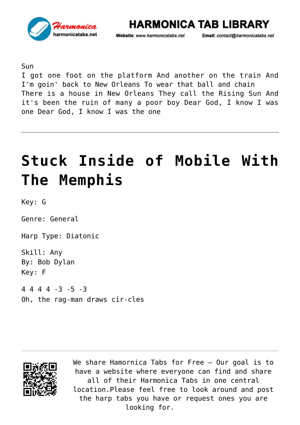

Website: www.harmonicatabs.net

Email: contact@harmonicatabs.net

**HARMONICA TAB LIBRARY** 

Sun

I got one foot on the platform And another on the train And I'm goin' back to New Orleans To wear that ball and chain There is a house in New Orleans They call the Rising Sun And it's been the ruin of many a poor boy Dear God, I know I was one Dear God, I know I was the one

# **[Stuck Inside of Mobile With](https://harmonicatabs.net/tabs/stuck-inside-of-mobile-with-the-memphis/) [The Memphis](https://harmonicatabs.net/tabs/stuck-inside-of-mobile-with-the-memphis/)**

Key: G

Genre: General

Harp Type: Diatonic

Skill: Any By: Bob Dylan Key: F

4 4 4 4 -3 -5 -3 Oh, the rag-man draws cir-cles

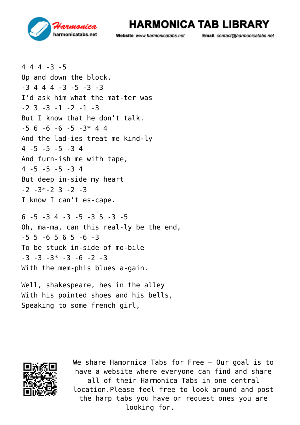

Website: www.harmonicatabs.net

Email: contact@harmonicatabs.net

4 4 4 -3 -5 Up and down the block. -3 4 4 4 -3 -5 -3 -3 I'd ask him what the mat-ter was -2 3 -3 -1 -2 -1 -3 But I know that he don't talk.  $-5$  6  $-6$   $-6$   $-5$   $-3$   $4$  4 And the lad-ies treat me kind-ly 4 -5 -5 -5 -3 4 And furn-ish me with tape, 4 -5 -5 -5 -3 4 But deep in-side my heart -2 -3\*-2 3 -2 -3 I know I can't es-cape.

6 -5 -3 4 -3 -5 -3 5 -3 -5 Oh, ma-ma, can this real-ly be the end,  $-5$  5  $-6$  5 6 5  $-6$   $-3$ To be stuck in-side of mo-bile  $-3$   $-3$   $-3$   $-3$   $-6$   $-2$   $-3$ With the mem-phis blues a-gain.

Well, shakespeare, hes in the alley With his pointed shoes and his bells, Speaking to some french girl,

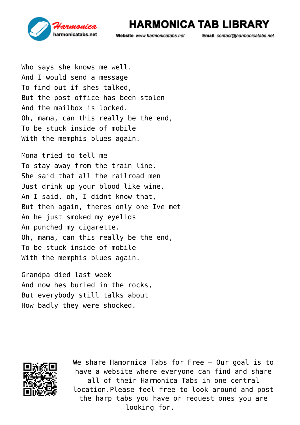**BRUAN** harmonicatabs.net

Website: www.harmonicatabs.net

Email: contact@harmonicatabs.net

Who says she knows me well. And I would send a message To find out if shes talked, But the post office has been stolen And the mailbox is locked. Oh, mama, can this really be the end, To be stuck inside of mobile With the memphis blues again.

Mona tried to tell me To stay away from the train line. She said that all the railroad men Just drink up your blood like wine. An I said, oh, I didnt know that, But then again, theres only one Ive met An he just smoked my eyelids An punched my cigarette. Oh, mama, can this really be the end, To be stuck inside of mobile With the memphis blues again.

Grandpa died last week And now hes buried in the rocks, But everybody still talks about How badly they were shocked.

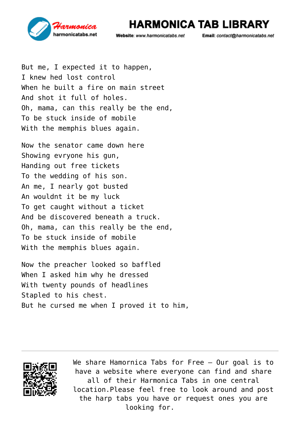

Website: www.harmonicatabs.net

Email: contact@harmonicatabs.net

But me, I expected it to happen, I knew hed lost control When he built a fire on main street And shot it full of holes. Oh, mama, can this really be the end, To be stuck inside of mobile With the memphis blues again.

Now the senator came down here Showing evryone his gun, Handing out free tickets To the wedding of his son. An me, I nearly got busted An wouldnt it be my luck To get caught without a ticket And be discovered beneath a truck. Oh, mama, can this really be the end, To be stuck inside of mobile With the memphis blues again.

Now the preacher looked so baffled When I asked him why he dressed With twenty pounds of headlines Stapled to his chest. But he cursed me when I proved it to him,

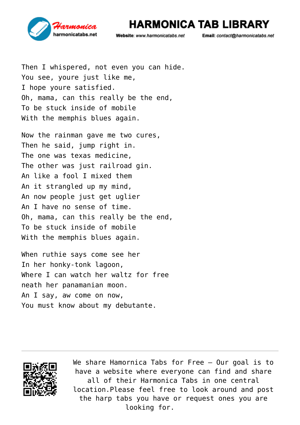

Website: www.harmonicatabs.net

Email: contact@harmonicatabs.net

Then I whispered, not even you can hide. You see, youre just like me, I hope youre satisfied. Oh, mama, can this really be the end, To be stuck inside of mobile With the memphis blues again.

Now the rainman gave me two cures, Then he said, jump right in. The one was texas medicine, The other was just railroad gin. An like a fool I mixed them An it strangled up my mind, An now people just get uglier An I have no sense of time. Oh, mama, can this really be the end, To be stuck inside of mobile With the memphis blues again.

When ruthie says come see her In her honky-tonk lagoon, Where I can watch her waltz for free neath her panamanian moon. An I say, aw come on now, You must know about my debutante.

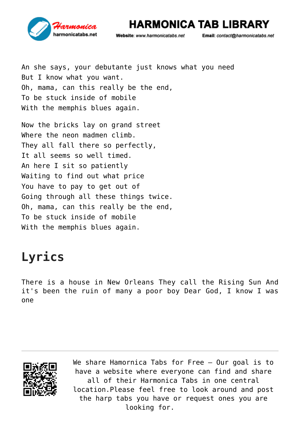

Website: www.harmonicatabs.net

Email: contact@harmonicatabs.net

An she says, your debutante just knows what you need But I know what you want. Oh, mama, can this really be the end, To be stuck inside of mobile With the memphis blues again.

Now the bricks lay on grand street Where the neon madmen climb. They all fall there so perfectly, It all seems so well timed. An here I sit so patiently Waiting to find out what price You have to pay to get out of Going through all these things twice. Oh, mama, can this really be the end, To be stuck inside of mobile With the memphis blues again.

# **Lyrics**

There is a house in New Orleans They call the Rising Sun And it's been the ruin of many a poor boy Dear God, I know I was one

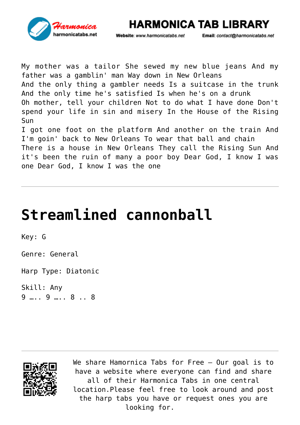

Website: www.harmonicatabs.net

Email: contact@harmonicatabs.net

My mother was a tailor She sewed my new blue jeans And my father was a gamblin' man Way down in New Orleans And the only thing a gambler needs Is a suitcase in the trunk And the only time he's satisfied Is when he's on a drunk Oh mother, tell your children Not to do what I have done Don't spend your life in sin and misery In the House of the Rising Sun

I got one foot on the platform And another on the train And I'm goin' back to New Orleans To wear that ball and chain There is a house in New Orleans They call the Rising Sun And it's been the ruin of many a poor boy Dear God, I know I was one Dear God, I know I was the one

# **[Streamlined cannonball](https://harmonicatabs.net/tabs/streamlined-cannonball/)**

Key: G

Genre: General

Harp Type: Diatonic

Skill: Any 9 ….. 9 ….. 8 .. 8

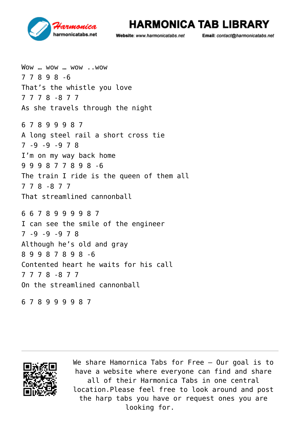

Website: www.harmonicatabs.net

Email: contact@harmonicatabs.net

Wow … wow … wow ..wow 7 7 8 9 8 -6 That's the whistle you love 7 7 7 8 -8 7 7 As she travels through the night 6 7 8 9 9 9 8 7 A long steel rail a short cross tie 7 -9 -9 -9 7 8 I'm on my way back home 9 9 9 8 7 7 8 9 8 -6 The train I ride is the queen of them all 7 7 8 -8 7 7 That streamlined cannonball 6 6 7 8 9 9 9 9 8 7 I can see the smile of the engineer 7 -9 -9 -9 7 8 Although he's old and gray 8 9 9 8 7 8 9 8 -6 Contented heart he waits for his call 7 7 7 8 -8 7 7 On the streamlined cannonball 6 7 8 9 9 9 9 8 7

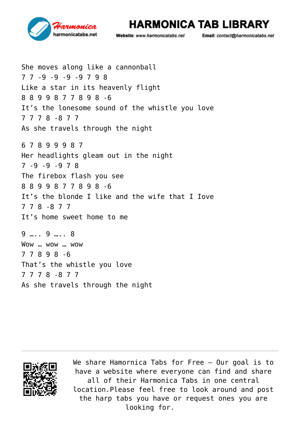

Website: www.harmonicatabs.net

Email: contact@harmonicatabs.net

She moves along like a cannonball 7 7 -9 -9 -9 -9 7 9 8 Like a star in its heavenly flight 8 8 9 9 8 7 7 8 9 8 -6 It's the lonesome sound of the whistle you love 7 7 7 8 -8 7 7 As she travels through the night 6 7 8 9 9 9 8 7 Her headlights gleam out in the night 7 -9 -9 -9 7 8 The firebox flash you see 8 8 9 9 8 7 7 8 9 8 -6 It's the blonde I like and the wife that I Iove 7 7 8 -8 7 7 It's home sweet home to me 9 ….. 9 ….. 8 Wow … wow … wow 7 7 8 9 8 -6 That's the whistle you love 7 7 7 8 -8 7 7 As she travels through the night

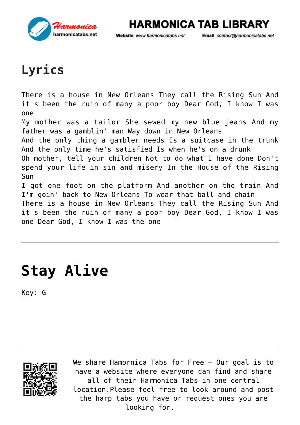

Website: www.harmonicatabs.net

Email: contact@harmonicatabs.net

# **Lyrics**

There is a house in New Orleans They call the Rising Sun And it's been the ruin of many a poor boy Dear God, I know I was one My mother was a tailor She sewed my new blue jeans And my father was a gamblin' man Way down in New Orleans And the only thing a gambler needs Is a suitcase in the trunk And the only time he's satisfied Is when he's on a drunk Oh mother, tell your children Not to do what I have done Don't spend your life in sin and misery In the House of the Rising Sun I got one foot on the platform And another on the train And I'm goin' back to New Orleans To wear that ball and chain There is a house in New Orleans They call the Rising Sun And it's been the ruin of many a poor boy Dear God, I know I was one Dear God, I know I was the one

# **[Stay Alive](https://harmonicatabs.net/tabs/stay-alive/)**

Key: G

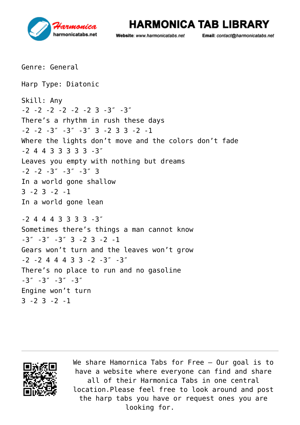

Website: www.harmonicatabs.net

Email: contact@harmonicatabs.net

Genre: General Harp Type: Diatonic Skill: Any -2 -2 -2 -2 -2 -2 3 -3″ -3″ There's a rhythm in rush these days  $-2$   $-2$   $-3$ " $-3$ " $-3$ "  $3$   $-2$   $3$   $3$   $-2$   $-1$ Where the lights don't move and the colors don't fade -2 4 4 3 3 3 3 3 -3″ Leaves you empty with nothing but dreams  $-2$   $-2$   $-3$ "  $-3$ "  $-3$ " 3 In a world gone shallow 3 -2 3 -2 -1 In a world gone lean -2 4 4 4 3 3 3 3 -3″ Sometimes there's things a man cannot know -3″ -3″ -3″ 3 -2 3 -2 -1 Gears won't turn and the leaves won't grow -2 -2 4 4 4 3 3 -2 -3″ -3″ There's no place to run and no gasoline -3″ -3″ -3″ -3″ Engine won't turn 3 -2 3 -2 -1

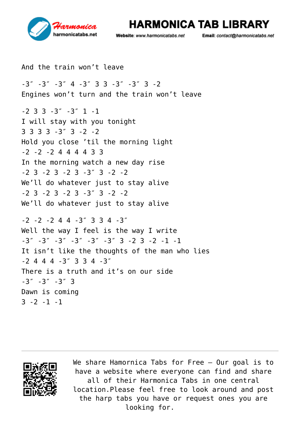

Website: www.harmonicatabs.net

Email: contact@harmonicatabs.net

And the train won't leave -3″ -3″ -3″ 4 -3″ 3 3 -3″ -3″ 3 -2 Engines won't turn and the train won't leave -2 3 3 -3″ -3″ 1 -1 I will stay with you tonight 3 3 3 3 -3″ 3 -2 -2 Hold you close 'til the morning light -2 -2 -2 4 4 4 4 3 3 In the morning watch a new day rise -2 3 -2 3 -2 3 -3″ 3 -2 -2 We'll do whatever just to stay alive -2 3 -2 3 -2 3 -3″ 3 -2 -2 We'll do whatever just to stay alive -2 -2 -2 4 4 -3″ 3 3 4 -3″ Well the way I feel is the way I write  $-3$ "  $-3$ "  $-3$ "  $-3$ "  $-3$ "  $-3$ "  $3$   $-2$   $3$   $-2$   $-1$   $-1$ It isn't like the thoughts of the man who lies -2 4 4 4 -3″ 3 3 4 -3″ There is a truth and it's on our side

-3″ -3″ -3″ 3 Dawn is coming 3 -2 -1 -1

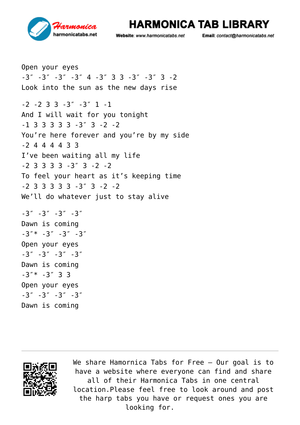

Website: www.harmonicatabs.net

Email: contact@harmonicatabs.net

Open your eyes  $-3$ ″  $-3$ ″  $-3$ ″  $-3$ ″  $4$   $-3$ ″  $3$   $3$   $-3$ ″  $-3$ ″  $3$   $-2$ Look into the sun as the new days rise -2 -2 3 3 -3″ -3″ 1 -1 And I will wait for you tonight -1 3 3 3 3 3 -3″ 3 -2 -2 You're here forever and you're by my side -2 4 4 4 4 3 3 I've been waiting all my life -2 3 3 3 3 -3″ 3 -2 -2 To feel your heart as it's keeping time -2 3 3 3 3 3 -3″ 3 -2 -2 We'll do whatever just to stay alive -3″ -3″ -3″ -3″ Dawn is coming -3″\* -3″ -3″ -3″ Open your eyes -3″ -3″ -3″ -3″ Dawn is coming -3″\* -3″ 3 3 Open your eyes -3″ -3″ -3″ -3″ Dawn is coming

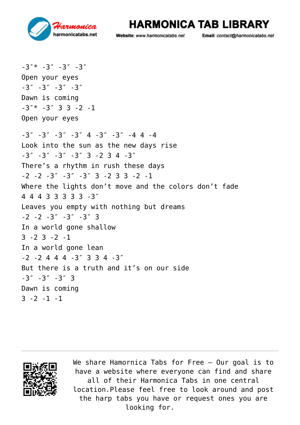

Website: www.harmonicatabs.net

Email: contact@harmonicatabs.net

```
-3″* -3″ -3″ -3″
Open your eyes
-3″ -3″ -3″ -3″
Dawn is coming
-3" * -3" 3 3 -2 -1Open your eyes
-3″ -3″ -3″ -3″ 4 -3″ -3″ -4 4 -4
Look into the sun as the new days rise
-3″ -3″ -3″ -3″ 3 -2 3 4 -3″
There's a rhythm in rush these days
-2 -2 -3″ -3″ -3″ 3 -2 3 3 -2 -1
Where the lights don't move and the colors don't fade
4 4 4 3 3 3 3 3 -3″
Leaves you empty with nothing but dreams
-2 -2 -3″ -3″ -3″ 3
In a world gone shallow
3 -2 3 -2 -1
In a world gone lean
-2 -2 4 4 4 -3″ 3 3 4 -3″
But there is a truth and it's on our side
-3″ -3″ -3″ 3
Dawn is coming
3 -2 -1 -1
```
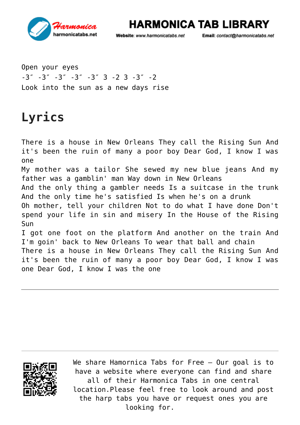

Website: www.harmonicatabs.net

Email: contact@harmonicatabs.net

Open your eyes  $-3$ ″  $-3$ ″  $-3$ ″  $-3$ ″  $-3$ ″  $3$   $-2$  3  $-3$ ″  $-2$ Look into the sun as a new days rise

## **Lyrics**

There is a house in New Orleans They call the Rising Sun And it's been the ruin of many a poor boy Dear God, I know I was one My mother was a tailor She sewed my new blue jeans And my father was a gamblin' man Way down in New Orleans And the only thing a gambler needs Is a suitcase in the trunk And the only time he's satisfied Is when he's on a drunk Oh mother, tell your children Not to do what I have done Don't spend your life in sin and misery In the House of the Rising Sun I got one foot on the platform And another on the train And I'm goin' back to New Orleans To wear that ball and chain There is a house in New Orleans They call the Rising Sun And it's been the ruin of many a poor boy Dear God, I know I was one Dear God, I know I was the one

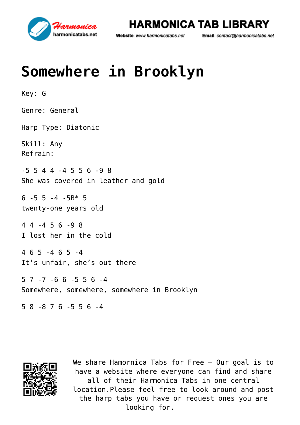

**HARMONICA TAB LIBRARY** 

Website: www.harmonicatabs.net

Email: contact@harmonicatabs.net

# **[Somewhere in Brooklyn](https://harmonicatabs.net/tabs/somewhere-in-brooklyn/)**

Key: G Genre: General Harp Type: Diatonic Skill: Any Refrain: -5 5 4 4 -4 5 5 6 -9 8 She was covered in leather and gold  $6 - 5$  5  $-4$   $-58$ \* 5 twenty-one years old 4 4 -4 5 6 -9 8 I lost her in the cold 4 6 5 -4 6 5 -4 It's unfair, she's out there 5 7 -7 -6 6 -5 5 6 -4 Somewhere, somewhere, somewhere in Brooklyn

5 8 -8 7 6 -5 5 6 -4

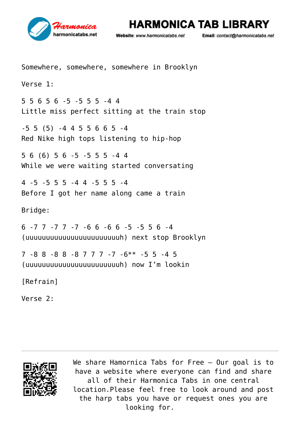

Website: www.harmonicatabs.net

Email: contact@harmonicatabs.net

Somewhere, somewhere, somewhere in Brooklyn

Verse 1:

5 5 6 5 6 -5 -5 5 5 -4 4 Little miss perfect sitting at the train stop

-5 5 (5) -4 4 5 5 6 6 5 -4 Red Nike high tops listening to hip-hop

5 6 (6) 5 6 -5 -5 5 5 -4 4 While we were waiting started conversating

4 -5 -5 5 5 -4 4 -5 5 5 -4 Before I got her name along came a train

Bridge:

6 -7 7 -7 7 -7 -6 6 -6 6 -5 -5 5 6 -4 (uuuuuuuuuuuuuuuuuuuuuuuh) next stop Brooklyn

7 -8 8 -8 8 -8 7 7 7 -7 -6\*\* -5 5 -4 5 (uuuuuuuuuuuuuuuuuuuuuuuh) now I'm lookin

[Refrain]

Verse 2:

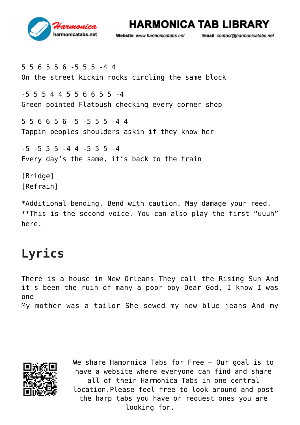

Website: www.harmonicatabs.net

Email: contact@harmonicatabs.net

5 5 6 5 5 6 -5 5 5 -4 4 On the street kickin rocks circling the same block -5 5 5 4 4 5 5 6 6 5 5 -4 Green pointed Flatbush checking every corner shop 5 5 6 6 5 6 -5 -5 5 5 -4 4 Tappin peoples shoulders askin if they know her  $-5$   $-5$   $5$   $5$   $-4$   $4$   $-5$   $5$   $5$   $-4$ Every day's the same, it's back to the train [Bridge] [Refrain] \*Additional bending. Bend with caution. May damage your reed.

\*\*This is the second voice. You can also play the first "uuuh" here.

# **Lyrics**

There is a house in New Orleans They call the Rising Sun And it's been the ruin of many a poor boy Dear God, I know I was one My mother was a tailor She sewed my new blue jeans And my

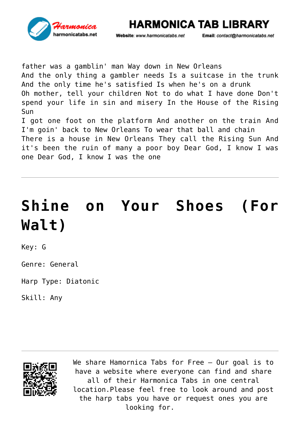

Website: www.harmonicatabs.net

Email: contact@harmonicatabs.net

**HARMONICA TAB LIBRARY** 

father was a gamblin' man Way down in New Orleans And the only thing a gambler needs Is a suitcase in the trunk And the only time he's satisfied Is when he's on a drunk Oh mother, tell your children Not to do what I have done Don't spend your life in sin and misery In the House of the Rising Sun

I got one foot on the platform And another on the train And I'm goin' back to New Orleans To wear that ball and chain There is a house in New Orleans They call the Rising Sun And it's been the ruin of many a poor boy Dear God, I know I was one Dear God, I know I was the one

# **[Shine on Your Shoes \(For](https://harmonicatabs.net/tabs/shine-on-your-shoes-for-walt/) [Walt\)](https://harmonicatabs.net/tabs/shine-on-your-shoes-for-walt/)**

Key: G

Genre: General

Harp Type: Diatonic

Skill: Any

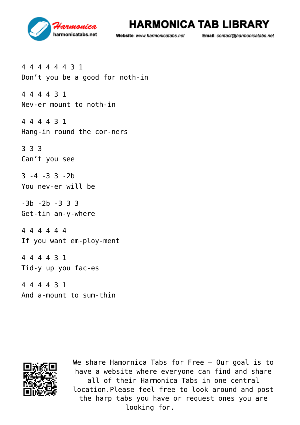

Website: www.harmonicatabs.net

Email: contact@harmonicatabs.net

4 4 4 4 4 4 3 1 Don't you be a good for noth-in 4 4 4 4 3 1 Nev-er mount to noth-in 4 4 4 4 3 1 Hang-in round the cor-ners 3 3 3 Can't you see 3 -4 -3 3 -2b You nev-er will be -3b -2b -3 3 3 Get-tin an-y-where 4 4 4 4 4 4 If you want em-ploy-ment 4 4 4 4 3 1 Tid-y up you fac-es 4 4 4 4 3 1 And a-mount to sum-thin

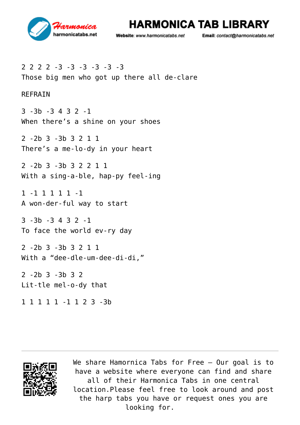

Website: www.harmonicatabs.net

Email: contact@harmonicatabs.net

2 2 2 2 -3 -3 -3 -3 -3 -3 Those big men who got up there all de-clare

REFRAIN

3 -3b -3 4 3 2 -1 When there's a shine on your shoes

2 -2b 3 -3b 3 2 1 1 There's a me-lo-dy in your heart

2 -2b 3 -3b 3 2 2 1 1 With a sing-a-ble, hap-py feel-ing

1 -1 1 1 1 1 -1 A won-der-ful way to start

3 -3b -3 4 3 2 -1 To face the world ev-ry day

2 -2b 3 -3b 3 2 1 1 With a "dee-dle-um-dee-di-di,"

2 -2b 3 -3b 3 2 Lit-tle mel-o-dy that

1 1 1 1 1 -1 1 2 3 -3b

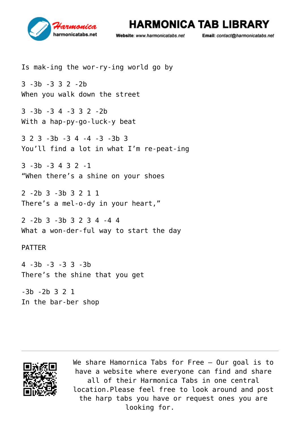

Website: www.harmonicatabs.net

Email: contact@harmonicatabs.net

Is mak-ing the wor-ry-ing world go by 3 -3b -3 3 2 -2b When you walk down the street 3 -3b -3 4 -3 3 2 -2b With a hap-py-go-luck-y beat 3 2 3 -3b -3 4 -4 -3 -3b 3 You'll find a lot in what I'm re-peat-ing 3 -3b -3 4 3 2 -1 "When there's a shine on your shoes

2 -2b 3 -3b 3 2 1 1 There's a mel-o-dy in your heart,"

2 -2b 3 -3b 3 2 3 4 -4 4 What a won-der-ful way to start the day

#### PATTER

4 -3b -3 -3 3 -3b There's the shine that you get

-3b -2b 3 2 1 In the bar-ber shop

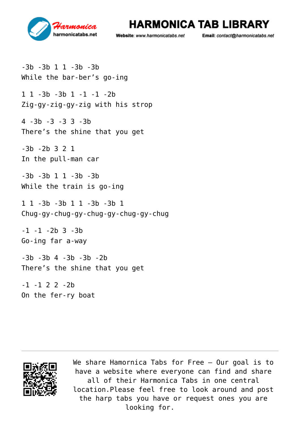

Website: www.harmonicatabs.net

Email: contact@harmonicatabs.net

 $-3b -3b$  1 1  $-3b -3b$ While the bar-ber's go-ing

1 1 -3b -3b 1 -1 -1 -2b Zig-gy-zig-gy-zig with his strop

4 -3b -3 -3 3 -3b There's the shine that you get

-3b -2b 3 2 1 In the pull-man car

-3b -3b 1 1 -3b -3b While the train is go-ing

1 1 -3b -3b 1 1 -3b -3b 1 Chug-gy-chug-gy-chug-gy-chug-gy-chug

 $-1$   $-1$   $-2b$  3  $-3b$ Go-ing far a-way

-3b -3b 4 -3b -3b -2b There's the shine that you get

 $-1$   $-1$  2 2  $-2b$ On the fer-ry boat

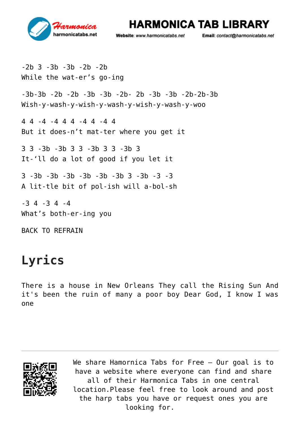

Website: www.harmonicatabs.net

Email: contact@harmonicatabs.net

-2b 3 -3b -3b -2b -2b While the wat-er's go-ing

-3b-3b -2b -2b -3b -3b -2b- 2b -3b -3b -2b-2b-3b Wish-y-wash-y-wish-y-wash-y-wish-y-wash-y-woo

4 4 -4 -4 4 4 -4 4 -4 4 But it does-n't mat-ter where you get it

3 3 -3b -3b 3 3 -3b 3 3 -3b 3 It-'ll do a lot of good if you let it

3 -3b -3b -3b -3b -3b -3b 3 -3b -3 -3 A lit-tle bit of pol-ish will a-bol-sh

-3 4 -3 4 -4 What's both-er-ing you

BACK TO REFRAIN

## **Lyrics**

There is a house in New Orleans They call the Rising Sun And it's been the ruin of many a poor boy Dear God, I know I was one